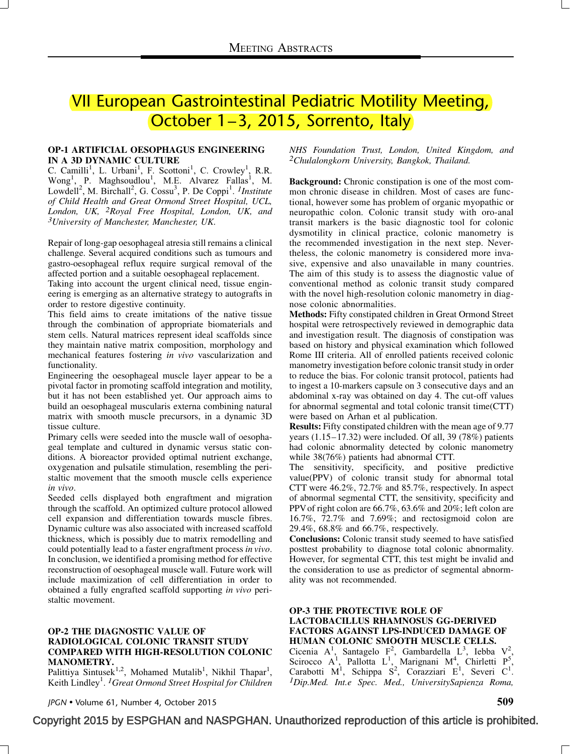# VII European Gastrointestinal Pediatric Motility Meeting, October 1–3, 2015, Sorrento, Italy

#### OP-1 ARTIFICIAL OESOPHAGUS ENGINEERING IN A 3D DYNAMIC CULTURE

C. Camilli<sup>1</sup>, L. Urbani<sup>1</sup>, F. Scottoni<sup>1</sup>, C. Crowley<sup>1</sup>, R.R.  $Wong<sup>1</sup>$ , P. Maghsoudlou<sup>1</sup>, M.E. Alvarez Fallas<sup>1</sup>, M. Lowdell<sup>2</sup>, M. Birchall<sup>2</sup>, G. Cossu<sup>3</sup>, P. De Coppi<sup>1</sup>. <sup>1</sup>Institute of Child Health and Great Ormond Street Hospital, UCL, London, UK, 2Royal Free Hospital, London, UK, and 3University of Manchester, Manchester, UK.

Repair of long-gap oesophageal atresia still remains a clinical challenge. Several acquired conditions such as tumours and gastro-oesophageal reflux require surgical removal of the affected portion and a suitable oesophageal replacement.

Taking into account the urgent clinical need, tissue engineering is emerging as an alternative strategy to autografts in order to restore digestive continuity.

This field aims to create imitations of the native tissue through the combination of appropriate biomaterials and stem cells. Natural matrices represent ideal scaffolds since they maintain native matrix composition, morphology and mechanical features fostering in vivo vascularization and functionality.

Engineering the oesophageal muscle layer appear to be a pivotal factor in promoting scaffold integration and motility, but it has not been established yet. Our approach aims to build an oesophageal muscularis externa combining natural matrix with smooth muscle precursors, in a dynamic 3D tissue culture.

Primary cells were seeded into the muscle wall of oesophageal template and cultured in dynamic versus static conditions. A bioreactor provided optimal nutrient exchange, oxygenation and pulsatile stimulation, resembling the peristaltic movement that the smooth muscle cells experience in vivo.

Seeded cells displayed both engraftment and migration through the scaffold. An optimized culture protocol allowed cell expansion and differentiation towards muscle fibres. Dynamic culture was also associated with increased scaffold thickness, which is possibly due to matrix remodelling and could potentially lead to a faster engraftment process in vivo. In conclusion, we identified a promising method for effective reconstruction of oesophageal muscle wall. Future work will include maximization of cell differentiation in order to obtained a fully engrafted scaffold supporting in vivo peristaltic movement.

### OP-2 THE DIAGNOSTIC VALUE OF RADIOLOGICAL COLONIC TRANSIT STUDY COMPARED WITH HIGH-RESOLUTION COLONIC MANOMETRY.

Palittiya Sintusek<sup>1,2</sup>, Mohamed Mutalib<sup>1</sup>, Nikhil Thapar<sup>1</sup>, Keith Lindley<sup>1</sup>. <sup>1</sup>Great Ormond Street Hospital for Children NHS Foundation Trust, London, United Kingdom, and 2Chulalongkorn University, Bangkok, Thailand.

Background: Chronic constipation is one of the most common chronic disease in children. Most of cases are functional, however some has problem of organic myopathic or neuropathic colon. Colonic transit study with oro-anal transit markers is the basic diagnostic tool for colonic dysmotility in clinical practice, colonic manometry is the recommended investigation in the next step. Nevertheless, the colonic manometry is considered more invasive, expensive and also unavailable in many countries. The aim of this study is to assess the diagnostic value of conventional method as colonic transit study compared with the novel high-resolution colonic manometry in diagnose colonic abnormalities.

Methods: Fifty constipated children in Great Ormond Street hospital were retrospectively reviewed in demographic data and investigation result. The diagnosis of constipation was based on history and physical examination which followed Rome III criteria. All of enrolled patients received colonic manometry investigation before colonic transit study in order to reduce the bias. For colonic transit protocol, patients had to ingest a 10-markers capsule on 3 consecutive days and an abdominal x-ray was obtained on day 4. The cut-off values for abnormal segmental and total colonic transit time(CTT) were based on Arhan et al publication.

Results: Fifty constipated children with the mean age of 9.77 years (1.15–17.32) were included. Of all, 39 (78%) patients had colonic abnormality detected by colonic manometry while 38(76%) patients had abnormal CTT.

The sensitivity, specificity, and positive predictive value(PPV) of colonic transit study for abnormal total CTT were 46.2%, 72.7% and 85.7%, respectively. In aspect of abnormal segmental CTT, the sensitivity, specificity and PPVof right colon are 66.7%, 63.6% and 20%; left colon are 16.7%, 72.7% and 7.69%; and rectosigmoid colon are 29.4%, 68.8% and 66.7%, respectively.

Conclusions: Colonic transit study seemed to have satisfied posttest probability to diagnose total colonic abnormality. However, for segmental CTT, this test might be invalid and the consideration to use as predictor of segmental abnormality was not recommended.

### OP-3 THE PROTECTIVE ROLE OF LACTOBACILLUS RHAMNOSUS GG-DERIVED FACTORS AGAINST LPS-INDUCED DAMAGE OF HUMAN COLONIC SMOOTH MUSCLE CELLS.

Cicenia A<sup>1</sup>, Santagelo F<sup>2</sup>, Gambardella L<sup>3</sup>, Iebba V<sup>2</sup>, Scirocco A<sup>1</sup>, Pallotta L<sup>1</sup>, Marignani M<sup>4</sup>, Chirletti P<sup>5</sup>, Carabotti M<sup>1</sup>, Schippa S<sup>2</sup>, Corazziari E<sup>1</sup>, Severi C<sup>1</sup> 1Dip.Med. Int.e Spec. Med., UniversitySapienza Roma,

 $JPGN \bullet$  Volume 61, Number 4, October 2015  $509$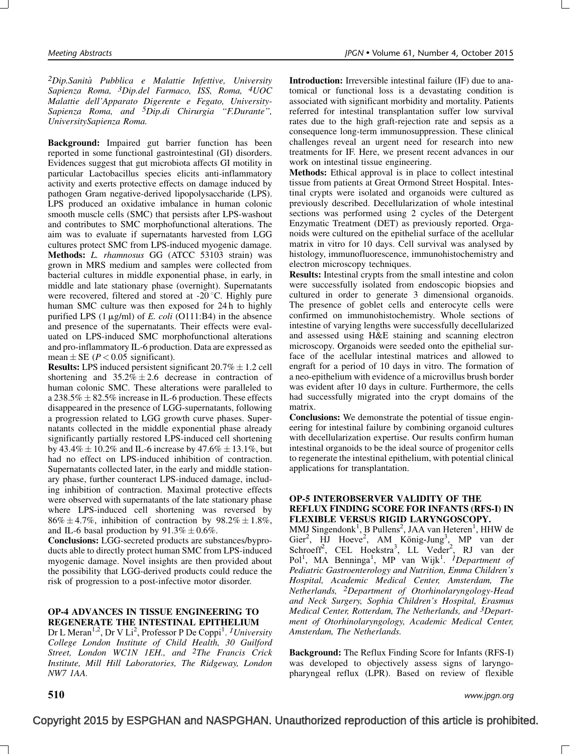2Dip.Sanita` Pubblica e Malattie Infettive, University Sapienza Roma, 3Dip.del Farmaco, ISS, Roma, 4UOC Malattie dell'Apparato Digerente e Fegato, University-Sapienza Roma, and <sup>5</sup>Dip.di Chirurgia "F.Durante", UniversitySapienza Roma.

Background: Impaired gut barrier function has been reported in some functional gastrointestinal (GI) disorders. Evidences suggest that gut microbiota affects GI motility in particular Lactobacillus species elicits anti-inflammatory activity and exerts protective effects on damage induced by pathogen Gram negative-derived lipopolysaccharide (LPS). LPS produced an oxidative imbalance in human colonic smooth muscle cells (SMC) that persists after LPS-washout and contributes to SMC morphofunctional alterations. The aim was to evaluate if supernatants harvested from LGG cultures protect SMC from LPS-induced myogenic damage. Methods: L. rhamnosus GG (ATCC 53103 strain) was grown in MRS medium and samples were collected from bacterial cultures in middle exponential phase, in early, in middle and late stationary phase (overnight). Supernatants were recovered, filtered and stored at -20 °C. Highly pure human SMC culture was then exposed for 24 h to highly purified LPS (1  $\mu$ g/ml) of E. coli (O111:B4) in the absence and presence of the supernatants. Their effects were evaluated on LPS-induced SMC morphofunctional alterations and pro-inflammatory IL-6 production. Data are expressed as mean  $\pm$  SE (*P* < 0.05 significant).

**Results:** LPS induced persistent significant  $20.7\% \pm 1.2$  cell shortening and  $35.2\% \pm 2.6$  decrease in contraction of human colonic SMC. These alterations were paralleled to a 238.5%  $\pm$  82.5% increase in IL-6 production. These effects disappeared in the presence of LGG-supernatants, following a progression related to LGG growth curve phases. Supernatants collected in the middle exponential phase already significantly partially restored LPS-induced cell shortening by  $43.4\% \pm 10.2\%$  and IL-6 increase by  $47.6\% \pm 13.1\%$ , but had no effect on LPS-induced inhibition of contraction. Supernatants collected later, in the early and middle stationary phase, further counteract LPS-induced damage, including inhibition of contraction. Maximal protective effects were observed with supernatants of the late stationary phase where LPS-induced cell shortening was reversed by  $86\% \pm 4.7\%$ , inhibition of contraction by  $98.2\% \pm 1.8\%$ , and IL-6 basal production by  $91.3\% \pm 0.6\%$ .

Conclusions: LGG-secreted products are substances/byproducts able to directly protect human SMC from LPS-induced myogenic damage. Novel insights are then provided about the possibility that LGG-derived products could reduce the risk of progression to a post-infective motor disorder.

## OP-4 ADVANCES IN TISSUE ENGINEERING TO REGENERATE THE INTESTINAL EPITHELIUM

Dr L Meran<sup>1,2</sup>, Dr V Li<sup>2</sup>, Professor P De Coppi<sup>1</sup>. <sup>1</sup> University College London Institute of Child Health, 30 Guilford Street, London WC1N 1EH., and <sup>2</sup>The Francis Crick Institute, Mill Hill Laboratories, The Ridgeway, London NW7 1AA.

Introduction: Irreversible intestinal failure (IF) due to anatomical or functional loss is a devastating condition is associated with significant morbidity and mortality. Patients referred for intestinal transplantation suffer low survival rates due to the high graft-rejection rate and sepsis as a consequence long-term immunosuppression. These clinical challenges reveal an urgent need for research into new treatments for IF. Here, we present recent advances in our work on intestinal tissue engineering.

Methods: Ethical approval is in place to collect intestinal tissue from patients at Great Ormond Street Hospital. Intestinal crypts were isolated and organoids were cultured as previously described. Decellularization of whole intestinal sections was performed using 2 cycles of the Detergent Enzymatic Treatment (DET) as previously reported. Organoids were cultured on the epithelial surface of the acellular matrix in vitro for 10 days. Cell survival was analysed by histology, immunofluorescence, immunohistochemistry and electron microscopy techniques.

Results: Intestinal crypts from the small intestine and colon were successfully isolated from endoscopic biopsies and cultured in order to generate 3 dimensional organoids. The presence of goblet cells and enterocyte cells were confirmed on immunohistochemistry. Whole sections of intestine of varying lengths were successfully decellularized and assessed using H&E staining and scanning electron microscopy. Organoids were seeded onto the epithelial surface of the acellular intestinal matrices and allowed to engraft for a period of 10 days in vitro. The formation of a neo-epithelium with evidence of a microvillus brush border was evident after 10 days in culture. Furthermore, the cells had successfully migrated into the crypt domains of the matrix.

Conclusions: We demonstrate the potential of tissue engineering for intestinal failure by combining organoid cultures with decellularization expertise. Our results confirm human intestinal organoids to be the ideal source of progenitor cells to regenerate the intestinal epithelium, with potential clinical applications for transplantation.

#### OP-5 INTEROBSERVER VALIDITY OF THE REFLUX FINDING SCORE FOR INFANTS (RFS-I) IN FLEXIBLE VERSUS RIGID LARYNGOSCOPY.

 $MMJ$  Singendonk<sup>1</sup>, B Pullens<sup>2</sup>, JAA van Heteren<sup>1</sup>, HHW de Gier<sup>2</sup>, HJ Hoeve<sup>2</sup>, AM König-Jung<sup>3</sup>, MP van der Schroeff<sup>2</sup>, CEL Hoekstra<sup>3</sup>, LL Veder<sup>2</sup>, RJ van der Pol<sup>1</sup>, MA Benninga<sup>1</sup>, MP van Wijk<sup>1</sup>. *1Department of* Pediatric Gastroenterology and Nutrition, Emma Children's Hospital, Academic Medical Center, Amsterdam, The Netherlands, 2Department of Otorhinolaryngology-Head and Neck Surgery, Sophia Children's Hospital, Erasmus Medical Center, Rotterdam, The Netherlands, and  $3$ Department of Otorhinolaryngology, Academic Medical Center, Amsterdam, The Netherlands.

Background: The Reflux Finding Score for Infants (RFS-I) was developed to objectively assess signs of laryngopharyngeal reflux (LPR). Based on review of flexible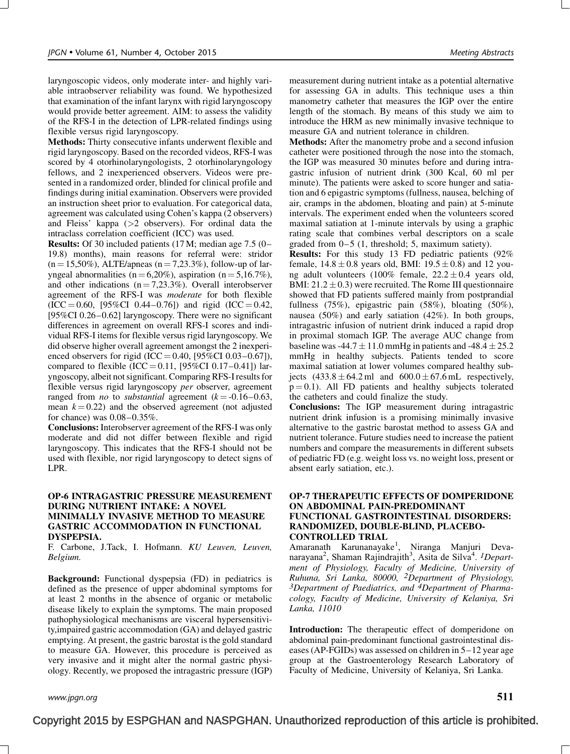laryngoscopic videos, only moderate inter- and highly variable intraobserver reliability was found. We hypothesized that examination of the infant larynx with rigid laryngoscopy would provide better agreement. AIM: to assess the validity of the RFS-I in the detection of LPR-related findings using flexible versus rigid laryngoscopy.

Methods: Thirty consecutive infants underwent flexible and rigid laryngoscopy. Based on the recorded videos, RFS-I was scored by 4 otorhinolaryngologists, 2 otorhinolaryngology fellows, and 2 inexperienced observers. Videos were presented in a randomized order, blinded for clinical profile and findings during initial examination. Observers were provided an instruction sheet prior to evaluation. For categorical data, agreement was calculated using Cohen's kappa (2 observers) and Fleiss' kappa (>2 observers). For ordinal data the intraclass correlation coefficient (ICC) was used.

Results: Of 30 included patients (17 M; median age 7.5 (0– 19.8) months), main reasons for referral were: stridor  $(n = 15,50\%)$ , ALTE/apneas  $(n = 7,23.3\%)$ , follow-up of laryngeal abnormalities (n = 6,20%), aspiration (n = 5,16.7%), and other indications  $(n = 7.23.3\%)$ . Overall interobserver agreement of the RFS-I was moderate for both flexible  $(ICC = 0.60, [95\% CI 0.44-0.76])$  and rigid  $(ICC = 0.42, ...)$ [95%CI 0.26–0.62] laryngoscopy. There were no significant differences in agreement on overall RFS-I scores and individual RFS-I items for flexible versus rigid laryngoscopy. We did observe higher overall agreement amongst the 2 inexperienced observers for rigid (ICC = 0.40, [95%CI 0.03–0.67]), compared to flexible (ICC = 0.11, [95%CI 0.17–0.41]) laryngoscopy, albeit not significant. Comparing RFS-I results for flexible versus rigid laryngoscopy per observer, agreement ranged from *no* to *substantial* agreement  $(k = -0.16 - 0.63$ , mean  $k = 0.22$ ) and the observed agreement (not adjusted for chance) was 0.08–0.35%.

Conclusions: Interobserver agreement of the RFS-I was only moderate and did not differ between flexible and rigid laryngoscopy. This indicates that the RFS-I should not be used with flexible, nor rigid laryngoscopy to detect signs of LPR.

#### OP-6 INTRAGASTRIC PRESSURE MEASUREMENT DURING NUTRIENT INTAKE: A NOVEL MINIMALLY INVASIVE METHOD TO MEASURE GASTRIC ACCOMMODATION IN FUNCTIONAL DYSPEPSIA.

F. Carbone, J.Tack, I. Hofmann. KU Leuven, Leuven, Belgium.

Background: Functional dyspepsia (FD) in pediatrics is defined as the presence of upper abdominal symptoms for at least 2 months in the absence of organic or metabolic disease likely to explain the symptoms. The main proposed pathophysiological mechanisms are visceral hypersensitivity,impaired gastric accommodation (GA) and delayed gastric emptying. At present, the gastric barostat is the gold standard to measure GA. However, this procedure is perceived as very invasive and it might alter the normal gastric physiology. Recently, we proposed the intragastric pressure (IGP)

measurement during nutrient intake as a potential alternative for assessing GA in adults. This technique uses a thin manometry catheter that measures the IGP over the entire length of the stomach. By means of this study we aim to introduce the HRM as new minimally invasive technique to measure GA and nutrient tolerance in children.

Methods: After the manometry probe and a second infusion catheter were positioned through the nose into the stomach, the IGP was measured 30 minutes before and during intragastric infusion of nutrient drink (300 Kcal, 60 ml per minute). The patients were asked to score hunger and satiation and 6 epigastric symptoms (fullness, nausea, belching of air, cramps in the abdomen, bloating and pain) at 5-minute intervals. The experiment ended when the volunteers scored maximal satiation at 1-minute intervals by using a graphic rating scale that combines verbal descriptors on a scale graded from 0–5 (1, threshold; 5, maximum satiety).

Results: For this study 13 FD pediatric patients (92% female,  $14.8 \pm 0.8$  years old, BMI:  $19.5 \pm 0.8$ ) and 12 young adult volunteers (100% female,  $22.2 \pm 0.4$  years old, BMI:  $21.2 \pm 0.3$ ) were recruited. The Rome III questionnaire showed that FD patients suffered mainly from postprandial fullness (75%), epigastric pain (58%), bloating (50%), nausea (50%) and early satiation (42%). In both groups, intragastric infusion of nutrient drink induced a rapid drop in proximal stomach IGP. The average AUC change from baseline was -44.7  $\pm$  11.0 mmHg in patients and -48.4  $\pm$  25.2 mmHg in healthy subjects. Patients tended to score maximal satiation at lower volumes compared healthy subjects  $(433.8 \pm 64.2 \text{ ml} \text{ and } 600.0 \pm 67.6 \text{ mL respectively}$  $p = 0.1$ ). All FD patients and healthy subjects tolerated the catheters and could finalize the study.

Conclusions: The IGP measurement during intragastric nutrient drink infusion is a promising minimally invasive alternative to the gastric barostat method to assess GA and nutrient tolerance. Future studies need to increase the patient numbers and compare the measurements in different subsets of pediatric FD (e.g. weight loss vs. no weight loss, present or absent early satiation, etc.).

#### OP-7 THERAPEUTIC EFFECTS OF DOMPERIDONE ON ABDOMINAL PAIN-PREDOMINANT FUNCTIONAL GASTROINTESTINAL DISORDERS: RANDOMIZED, DOUBLE-BLIND, PLACEBO-CONTROLLED TRIAL

Amaranath Karunanayake<sup>1</sup>, Niranga Manjuri Devanarayana<sup>2</sup>, Shaman Rajindrajith<sup>3</sup>, Asita de Silva<sup>4</sup>. <sup>1</sup>Department of Physiology, Faculty of Medicine, University of Ruhuna, Sri Lanka, 80000, 2Department of Physiology,  $3$ Department of Paediatrics, and  $4$ Department of Pharmacology, Faculty of Medicine, University of Kelaniya, Sri Lanka, 11010

Introduction: The therapeutic effect of domperidone on abdominal pain-predominant functional gastrointestinal diseases (AP-FGIDs) was assessed on children in 5–12 year age group at the Gastroenterology Research Laboratory of Faculty of Medicine, University of Kelaniya, Sri Lanka.

www.jpgn.org  $511$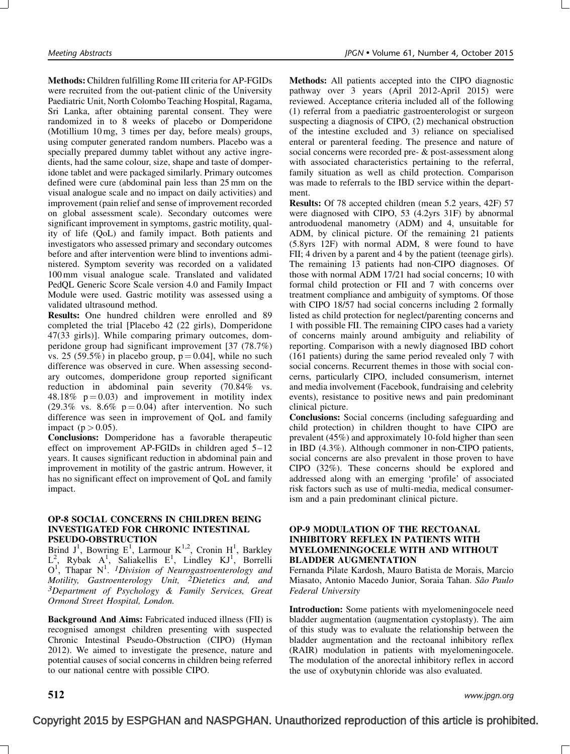Methods: Children fulfilling Rome III criteria for AP-FGIDs were recruited from the out-patient clinic of the University Paediatric Unit, North Colombo Teaching Hospital, Ragama, Sri Lanka, after obtaining parental consent. They were randomized in to 8 weeks of placebo or Domperidone (Motillium 10 mg, 3 times per day, before meals) groups, using computer generated random numbers. Placebo was a specially prepared dummy tablet without any active ingredients, had the same colour, size, shape and taste of domperidone tablet and were packaged similarly. Primary outcomes defined were cure (abdominal pain less than 25 mm on the visual analogue scale and no impact on daily activities) and improvement (pain relief and sense of improvement recorded on global assessment scale). Secondary outcomes were significant improvement in symptoms, gastric motility, quality of life (QoL) and family impact. Both patients and investigators who assessed primary and secondary outcomes before and after intervention were blind to inventions administered. Symptom severity was recorded on a validated 100 mm visual analogue scale. Translated and validated PedQL Generic Score Scale version 4.0 and Family Impact Module were used. Gastric motility was assessed using a validated ultrasound method.

Results: One hundred children were enrolled and 89 completed the trial [Placebo 42 (22 girls), Domperidone 47(33 girls)]. While comparing primary outcomes, domperidone group had significant improvement [37 (78.7%) vs. 25 (59.5%) in placebo group,  $p = 0.04$ , while no such difference was observed in cure. When assessing secondary outcomes, domperidone group reported significant reduction in abdominal pain severity (70.84% vs. 48.18%  $p = 0.03$  and improvement in motility index  $(29.3\% \text{ vs. } 8.6\% \text{ p} = 0.04)$  after intervention. No such difference was seen in improvement of QoL and family impact ( $p > 0.05$ ).

Conclusions: Domperidone has a favorable therapeutic effect on improvement AP-FGIDs in children aged 5–12 years. It causes significant reduction in abdominal pain and improvement in motility of the gastric antrum. However, it has no significant effect on improvement of QoL and family impact.

#### OP-8 SOCIAL CONCERNS IN CHILDREN BEING INVESTIGATED FOR CHRONIC INTESTINAL PSEUDO-OBSTRUCTION

Brind  $J^1$ , Bowring E<sup>1</sup>, Larmour K<sup>1,2</sup>, Cronin H<sup>1</sup>, Barkley L<sup>2</sup>, Rybak A<sup>1</sup>, Saliakellis E<sup>1</sup>, Lindley KJ<sup>1</sup>, Borrelli  $O^1$ , Thapar N<sup>1</sup>. <sup>1</sup>Division of Neurogastroenterology and Motility, Gastroenterology Unit, <sup>2</sup>Dietetics and, and 3Department of Psychology & Family Services, Great Ormond Street Hospital, London.

Background And Aims: Fabricated induced illness (FII) is recognised amongst children presenting with suspected Chronic Intestinal Pseudo-Obstruction (CIPO) (Hyman 2012). We aimed to investigate the presence, nature and potential causes of social concerns in children being referred to our national centre with possible CIPO.

Methods: All patients accepted into the CIPO diagnostic pathway over 3 years (April 2012-April 2015) were reviewed. Acceptance criteria included all of the following (1) referral from a paediatric gastroenterologist or surgeon suspecting a diagnosis of CIPO, (2) mechanical obstruction of the intestine excluded and 3) reliance on specialised enteral or parenteral feeding. The presence and nature of social concerns were recorded pre- & post-assessment along with associated characteristics pertaining to the referral, family situation as well as child protection. Comparison was made to referrals to the IBD service within the department.

Results: Of 78 accepted children (mean 5.2 years, 42F) 57 were diagnosed with CIPO, 53 (4.2yrs 31F) by abnormal antroduodenal manometry (ADM) and 4, unsuitable for ADM, by clinical picture. Of the remaining 21 patients (5.8yrs 12F) with normal ADM, 8 were found to have FII; 4 driven by a parent and 4 by the patient (teenage girls). The remaining 13 patients had non-CIPO diagnoses. Of those with normal ADM 17/21 had social concerns; 10 with formal child protection or FII and 7 with concerns over treatment compliance and ambiguity of symptoms. Of those with CIPO 18/57 had social concerns including 2 formally listed as child protection for neglect/parenting concerns and 1 with possible FII. The remaining CIPO cases had a variety of concerns mainly around ambiguity and reliability of reporting. Comparison with a newly diagnosed IBD cohort (161 patients) during the same period revealed only 7 with social concerns. Recurrent themes in those with social concerns, particularly CIPO, included consumerism, internet and media involvement (Facebook, fundraising and celebrity events), resistance to positive news and pain predominant clinical picture.

Conclusions: Social concerns (including safeguarding and child protection) in children thought to have CIPO are prevalent (45%) and approximately 10-fold higher than seen in IBD (4.3%). Although commoner in non-CIPO patients, social concerns are also prevalent in those proven to have CIPO (32%). These concerns should be explored and addressed along with an emerging 'profile' of associated risk factors such as use of multi-media, medical consumerism and a pain predominant clinical picture.

#### OP-9 MODULATION OF THE RECTOANAL INHIBITORY REFLEX IN PATIENTS WITH MYELOMENINGOCELE WITH AND WITHOUT BLADDER AUGMENTATION

Fernanda Pilate Kardosh, Mauro Batista de Morais, Marcio Miasato, Antonio Macedo Junior, Soraia Tahan. São Paulo Federal University

Introduction: Some patients with myelomeningocele need bladder augmentation (augmentation cystoplasty). The aim of this study was to evaluate the relationship between the bladder augmentation and the rectoanal inhibitory reflex (RAIR) modulation in patients with myelomeningocele. The modulation of the anorectal inhibitory reflex in accord the use of oxybutynin chloride was also evaluated.

 $512$  www.jpgn.org www.jpgn.org www.jpgn.org www.jpgn.org www.jpgn.org  $\,$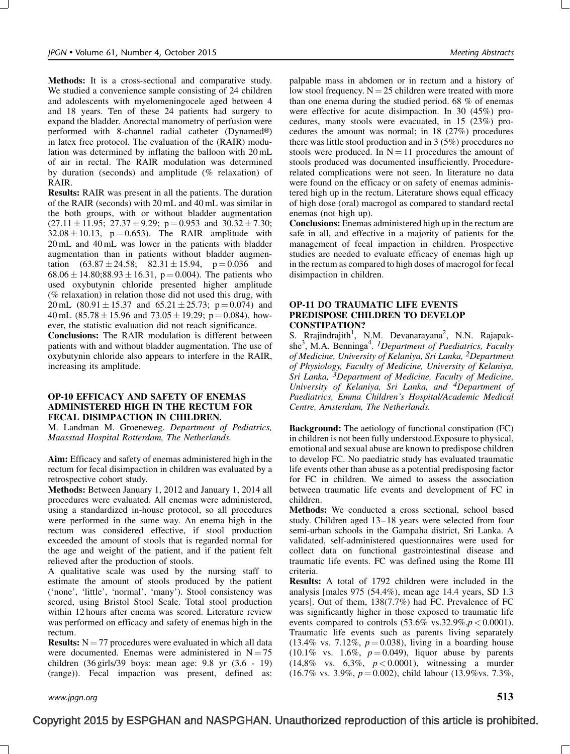Methods: It is a cross-sectional and comparative study. We studied a convenience sample consisting of 24 children and adolescents with myelomeningocele aged between 4 and 18 years. Ten of these 24 patients had surgery to expand the bladder. Anorectal manometry of perfusion were performed with 8-channel radial catheter (Dynamed<sup>®</sup>) in latex free protocol. The evaluation of the (RAIR) modulation was determined by inflating the balloon with 20 mL of air in rectal. The RAIR modulation was determined by duration (seconds) and amplitude (% relaxation) of RAIR.

Results: RAIR was present in all the patients. The duration of the RAIR (seconds) with 20 mL and 40 mL was similar in the both groups, with or without bladder augmentation  $(27.11 \pm 11.95; 27.37 \pm 9.29; p = 0.953 \text{ and } 30.32 \pm 7.30;$  $32.08 \pm 10.13$ ,  $p = 0.653$ ). The RAIR amplitude with 20 mL and 40 mL was lower in the patients with bladder augmentation than in patients without bladder augmentation  $(63.87 \pm 24.58; 82.31 \pm 15.94, p=0.036$  and  $68.06 \pm 14.80;88.93 \pm 16.31$ , p = 0.004). The patients who used oxybutynin chloride presented higher amplitude (% relaxation) in relation those did not used this drug, with  $20 \text{ mL}$  (80.91  $\pm$  15.37 and 65.21  $\pm$  25.73; p = 0.074) and 40 mL (85.78  $\pm$  15.96 and 73.05  $\pm$  19.29; p = 0.084), however, the statistic evaluation did not reach significance.

Conclusions: The RAIR modulation is different between patients with and without bladder augmentation. The use of oxybutynin chloride also appears to interfere in the RAIR, increasing its amplitude.

#### OP-10 EFFICACY AND SAFETY OF ENEMAS ADMINISTERED HIGH IN THE RECTUM FOR FECAL DISIMPACTION IN CHILDREN.

M. Landman M. Groeneweg. Department of Pediatrics, Maasstad Hospital Rotterdam, The Netherlands.

Aim: Efficacy and safety of enemas administered high in the rectum for fecal disimpaction in children was evaluated by a retrospective cohort study.

Methods: Between January 1, 2012 and January 1, 2014 all procedures were evaluated. All enemas were administered, using a standardized in-house protocol, so all procedures were performed in the same way. An enema high in the rectum was considered effective, if stool production exceeded the amount of stools that is regarded normal for the age and weight of the patient, and if the patient felt relieved after the production of stools.

A qualitative scale was used by the nursing staff to estimate the amount of stools produced by the patient ('none', 'little', 'normal', 'many'). Stool consistency was scored, using Bristol Stool Scale. Total stool production within 12 hours after enema was scored. Literature review was performed on efficacy and safety of enemas high in the rectum.

**Results:**  $N = 77$  procedures were evaluated in which all data were documented. Enemas were administered in  $N = 75$ children (36 girls/39 boys: mean age: 9.8 yr (3.6 - 19) (range)). Fecal impaction was present, defined as:

palpable mass in abdomen or in rectum and a history of low stool frequency.  $N = 25$  children were treated with more than one enema during the studied period. 68 % of enemas were effective for acute disimpaction. In 30 (45%) procedures, many stools were evacuated, in 15 (23%) procedures the amount was normal; in 18 (27%) procedures there was little stool production and in 3 (5%) procedures no stools were produced. In  $N = 11$  procedures the amount of stools produced was documented insufficiently. Procedurerelated complications were not seen. In literature no data were found on the efficacy or on safety of enemas administered high up in the rectum. Literature shows equal efficacy of high dose (oral) macrogol as compared to standard rectal enemas (not high up).

Conclusions: Enemas administered high up in the rectum are safe in all, and effective in a majority of patients for the management of fecal impaction in children. Prospective studies are needed to evaluate efficacy of enemas high up in the rectum as compared to high doses of macrogol for fecal disimpaction in children.

#### OP-11 DO TRAUMATIC LIFE EVENTS PREDISPOSE CHILDREN TO DEVELOP CONSTIPATION?

S. Rrajindrajith<sup>1</sup>, N.M. Devanarayana<sup>2</sup>, N.N. Rajapakshe<sup>3</sup>, M.A. Benninga<sup>4</sup>. <sup>1</sup>Department of Paediatrics, Faculty of Medicine, University of Kelaniya, Sri Lanka, 2Department of Physiology, Faculty of Medicine, University of Kelaniya, Sri Lanka, <sup>3</sup>Department of Medicine, Faculty of Medicine, University of Kelaniya, Sri Lanka, and <sup>4</sup>Department of Paediatrics, Emma Children's Hospital/Academic Medical Centre, Amsterdam, The Netherlands.

Background: The aetiology of functional constipation (FC) in children is not been fully understood.Exposure to physical, emotional and sexual abuse are known to predispose children to develop FC. No paediatric study has evaluated traumatic life events other than abuse as a potential predisposing factor for FC in children. We aimed to assess the association between traumatic life events and development of FC in children.

Methods: We conducted a cross sectional, school based study. Children aged 13–18 years were selected from four semi-urban schools in the Gampaha district, Sri Lanka. A validated, self-administered questionnaires were used for collect data on functional gastrointestinal disease and traumatic life events. FC was defined using the Rome III criteria.

Results: A total of 1792 children were included in the analysis [males 975 (54.4%), mean age 14.4 years, SD 1.3 years]. Out of them, 138(7.7%) had FC. Prevalence of FC was significantly higher in those exposed to traumatic life events compared to controls  $(53.6\% \text{ vs.}32.9\%, p < 0.0001)$ . Traumatic life events such as parents living separately (13.4% vs. 7.12%,  $p = 0.038$ ), living in a boarding house  $(10.1\% \text{ vs. } 1.6\%, p = 0.049)$ , liquor abuse by parents  $(14,8\%$  vs. 6,3%,  $p < 0.0001$ ), witnessing a murder  $(16.7\% \text{ vs. } 3.9\%, p = 0.002)$ , child labour  $(13.9\% \text{ vs. } 7.3\%,$ 

www.jpgn.org  $513$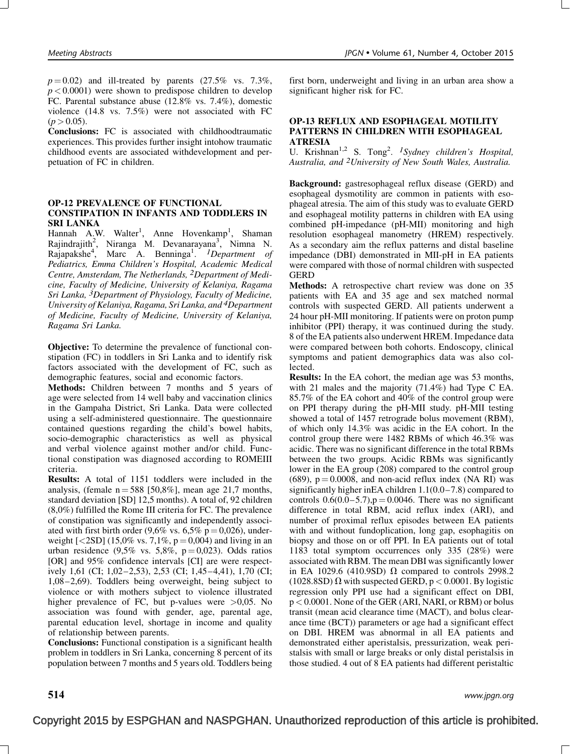$p = 0.02$ ) and ill-treated by parents (27.5% vs. 7.3%,  $p < 0.0001$ ) were shown to predispose children to develop FC. Parental substance abuse (12.8% vs. 7.4%), domestic violence (14.8 vs. 7.5%) were not associated with FC  $(p > 0.05)$ .

Conclusions: FC is associated with childhoodtraumatic experiences. This provides further insight intohow traumatic childhood events are associated withdevelopment and perpetuation of FC in children.

#### OP-12 PREVALENCE OF FUNCTIONAL CONSTIPATION IN INFANTS AND TODDLERS IN SRI LANKA

Hannah A.W. Walter<sup>1</sup>, Anne Hovenkamp<sup>1</sup>, Shaman Rajindrajith<sup>2</sup>, Niranga M. Devanarayana<sup>3</sup>, Nimna N. Rajapakshe<sup>4</sup>, Marc A. Benninga<sup>1</sup>. *1Department of* Pediatrics, Emma Children's Hospital, Academic Medical Centre, Amsterdam, The Netherlands, 2Department of Medicine, Faculty of Medicine, University of Kelaniya, Ragama Sri Lanka, <sup>3</sup>Department of Physiology, Faculty of Medicine, University of Kelaniya, Ragama, Sri Lanka, and 4Department of Medicine, Faculty of Medicine, University of Kelaniya, Ragama Sri Lanka.

Objective: To determine the prevalence of functional constipation (FC) in toddlers in Sri Lanka and to identify risk factors associated with the development of FC, such as demographic features, social and economic factors.

Methods: Children between 7 months and 5 years of age were selected from 14 well baby and vaccination clinics in the Gampaha District, Sri Lanka. Data were collected using a self-administered questionnaire. The questionnaire contained questions regarding the child's bowel habits, socio-demographic characteristics as well as physical and verbal violence against mother and/or child. Functional constipation was diagnosed according to ROMEIII criteria.

Results: A total of 1151 toddlers were included in the analysis, (female  $n = 588$  [50,8%], mean age 21,7 months, standard deviation [SD] 12,5 months). A total of, 92 children (8,0%) fulfilled the Rome III criteria for FC. The prevalence of constipation was significantly and independently associated with first birth order (9,6% vs. 6,5%  $p = 0.026$ ), underweight  $[<2SD]$  (15,0% vs. 7,1%,  $p = 0,004$ ) and living in an urban residence  $(9.5\%$  vs. 5,8%,  $p = 0.023$ ). Odds ratios [OR] and 95% confidence intervals [CI] are were respectively 1,61 (CI; 1,02–2,53), 2,53 (CI; 1,45–4,41), 1,70 (CI; 1,08–2,69). Toddlers being overweight, being subject to violence or with mothers subject to violence illustrated higher prevalence of FC, but p-values were >0,05. No association was found with gender, age, parental age, parental education level, shortage in income and quality of relationship between parents.

Conclusions: Functional constipation is a significant health problem in toddlers in Sri Lanka, concerning 8 percent of its population between 7 months and 5 years old. Toddlers being first born, underweight and living in an urban area show a significant higher risk for FC.

#### OP-13 REFLUX AND ESOPHAGEAL MOTILITY PATTERNS IN CHILDREN WITH ESOPHAGEAL ATRESIA

U. Krishnan<sup>1,2</sup> S. Tong<sup>2</sup>. <sup>1</sup>Sydney children's Hospital, Australia, and 2University of New South Wales, Australia.

Background: gastresophageal reflux disease (GERD) and esophageal dysmotility are common in patients with esophageal atresia. The aim of this study was to evaluate GERD and esophageal motility patterns in children with EA using combined pH-impedance (pH-MII) monitoring and high resolution esophageal manometry (HREM) respectively. As a secondary aim the reflux patterns and distal baseline impedance (DBI) demonstrated in MII-pH in EA patients were compared with those of normal children with suspected GERD

Methods: A retrospective chart review was done on 35 patients with EA and 35 age and sex matched normal controls with suspected GERD. All patients underwent a 24 hour pH-MII monitoring. If patients were on proton pump inhibitor (PPI) therapy, it was continued during the study. 8 of the EA patients also underwent HREM. Impedance data were compared between both cohorts. Endoscopy, clinical symptoms and patient demographics data was also collected.

Results: In the EA cohort, the median age was 53 months, with 21 males and the majority (71.4%) had Type C EA. 85.7% of the EA cohort and 40% of the control group were on PPI therapy during the pH-MII study. pH-MII testing showed a total of 1457 retrograde bolus movement (RBM), of which only 14.3% was acidic in the EA cohort. In the control group there were 1482 RBMs of which 46.3% was acidic. There was no significant difference in the total RBMs between the two groups. Acidic RBMs was significantly lower in the EA group (208) compared to the control group (689),  $p = 0.0008$ , and non-acid reflux index (NA RI) was significantly higher inEA children 1.1(0.0–7.8) compared to controls  $0.6(0.0-5.7)$ ,  $p = 0.0046$ . There was no significant difference in total RBM, acid reflux index (ARI), and number of proximal reflux episodes between EA patients with and without fundoplication, long gap, esophagitis on biopsy and those on or off PPI. In EA patients out of total 1183 total symptom occurrences only 335 (28%) were associated with RBM. The mean DBI was significantly lower in EA 1029.6 (410.9SD)  $\Omega$  compared to controls 2998.2 (1028.8SD)  $\Omega$  with suspected GERD,  $p < 0.0001$ . By logistic regression only PPI use had a significant effect on DBI, p < 0.0001. None of the GER (ARI, NARI, or RBM) or bolus transit (mean acid clearance time (MACT), and bolus clearance time (BCT)) parameters or age had a significant effect on DBI. HREM was abnormal in all EA patients and demonstrated either aperistalsis, pressurization, weak peristalsis with small or large breaks or only distal peristalsis in those studied. 4 out of 8 EA patients had different peristaltic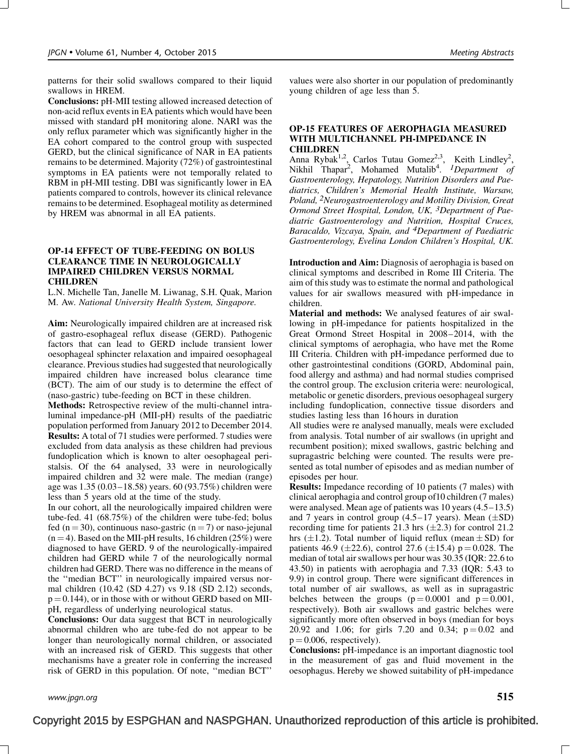patterns for their solid swallows compared to their liquid swallows in HREM.

Conclusions: pH-MII testing allowed increased detection of non-acid reflux events in EA patients which would have been missed with standard pH monitoring alone. NARI was the only reflux parameter which was significantly higher in the EA cohort compared to the control group with suspected GERD, but the clinical significance of NAR in EA patients remains to be determined. Majority (72%) of gastrointestinal symptoms in EA patients were not temporally related to RBM in pH-MII testing. DBI was significantly lower in EA patients compared to controls, however its clinical relevance remains to be determined. Esophageal motility as determined by HREM was abnormal in all EA patients.

#### OP-14 EFFECT OF TUBE-FEEDING ON BOLUS CLEARANCE TIME IN NEUROLOGICALLY IMPAIRED CHILDREN VERSUS NORMAL CHILDREN

L.N. Michelle Tan, Janelle M. Liwanag, S.H. Quak, Marion M. Aw. National University Health System, Singapore.

Aim: Neurologically impaired children are at increased risk of gastro-esophageal reflux disease (GERD). Pathogenic factors that can lead to GERD include transient lower oesophageal sphincter relaxation and impaired oesophageal clearance. Previous studies had suggested that neurologically impaired children have increased bolus clearance time (BCT). The aim of our study is to determine the effect of (naso-gastric) tube-feeding on BCT in these children.

Methods: Retrospective review of the multi-channel intraluminal impedance-pH (MII-pH) results of the paediatric population performed from January 2012 to December 2014. Results: A total of 71 studies were performed. 7 studies were excluded from data analysis as these children had previous fundoplication which is known to alter oesophageal peristalsis. Of the 64 analysed, 33 were in neurologically impaired children and 32 were male. The median (range) age was 1.35 (0.03–18.58) years. 60 (93.75%) children were less than 5 years old at the time of the study.

In our cohort, all the neurologically impaired children were tube-fed. 41 (68.75%) of the children were tube-fed; bolus fed (n = 30), continuous naso-gastric (n = 7) or naso-jejunal  $(n = 4)$ . Based on the MII-pH results, 16 children (25%) were diagnosed to have GERD. 9 of the neurologically-impaired children had GERD while 7 of the neurologically normal children had GERD. There was no difference in the means of the ''median BCT'' in neurologically impaired versus normal children (10.42 (SD 4.27) vs 9.18 (SD 2.12) seconds,  $p = 0.144$ , or in those with or without GERD based on MIIpH, regardless of underlying neurological status.

Conclusions: Our data suggest that BCT in neurologically abnormal children who are tube-fed do not appear to be longer than neurologically normal children, or associated with an increased risk of GERD. This suggests that other mechanisms have a greater role in conferring the increased risk of GERD in this population. Of note, ''median BCT''

values were also shorter in our population of predominantly young children of age less than 5.

#### OP-15 FEATURES OF AEROPHAGIA MEASURED WITH MULTICHANNEL PH-IMPEDANCE IN **CHILDREN**

Anna Rybak<sup>1,2</sup>, Carlos Tutau Gomez<sup>2,3</sup>, Keith Lindley<sup>2</sup>, Nikhil Thapar<sup>2</sup>, Mohamed Mutalib<sup>4</sup>. *1Department of* Gastroenterology, Hepatology, Nutrition Disorders and Paediatrics, Children's Memorial Health Institute, Warsaw, Poland, 2Neurogastroenterology and Motility Division, Great Ormond Street Hospital, London, UK, 3Department of Paediatric Gastroenterology and Nutrition, Hospital Cruces, Baracaldo, Vizcaya, Spain, and 4Department of Paediatric Gastroenterology, Evelina London Children's Hospital, UK.

Introduction and Aim: Diagnosis of aerophagia is based on clinical symptoms and described in Rome III Criteria. The aim of this study was to estimate the normal and pathological values for air swallows measured with pH-impedance in children.

Material and methods: We analysed features of air swallowing in pH-impedance for patients hospitalized in the Great Ormond Street Hospital in 2008–2014, with the clinical symptoms of aerophagia, who have met the Rome III Criteria. Children with pH-impedance performed due to other gastrointestinal conditions (GORD, Abdominal pain, food allergy and asthma) and had normal studies comprised the control group. The exclusion criteria were: neurological, metabolic or genetic disorders, previous oesophageal surgery including fundoplication, connective tissue disorders and studies lasting less than 16 hours in duration

All studies were re analysed manually, meals were excluded from analysis. Total number of air swallows (in upright and recumbent position); mixed swallows, gastric belching and supragastric belching were counted. The results were presented as total number of episodes and as median number of episodes per hour.

Results: Impedance recording of 10 patients (7 males) with clinical aerophagia and control group of10 children (7 males) were analysed. Mean age of patients was 10 years (4.5–13.5) and 7 years in control group  $(4.5-17 \text{ years})$ . Mean  $(\pm SD)$ recording time for patients 21.3 hrs  $(\pm 2.3)$  for control 21.2 hrs  $(\pm 1.2)$ . Total number of liquid reflux (mean  $\pm$  SD) for patients 46.9 ( $\pm$ 22.6), control 27.6 ( $\pm$ 15.4) p = 0.028. The median of total air swallows per hour was 30.35 (IQR: 22.6 to 43.50) in patients with aerophagia and 7.33 (IQR: 5.43 to 9.9) in control group. There were significant differences in total number of air swallows, as well as in supragastric belches between the groups  $(p = 0.0001$  and  $p = 0.001$ , respectively). Both air swallows and gastric belches were significantly more often observed in boys (median for boys 20.92 and 1.06; for girls 7.20 and 0.34;  $p = 0.02$  and  $p = 0.006$ , respectively).

Conclusions: pH-impedance is an important diagnostic tool in the measurement of gas and fluid movement in the oesophagus. Hereby we showed suitability of pH-impedance

www.jpgn.org  $515$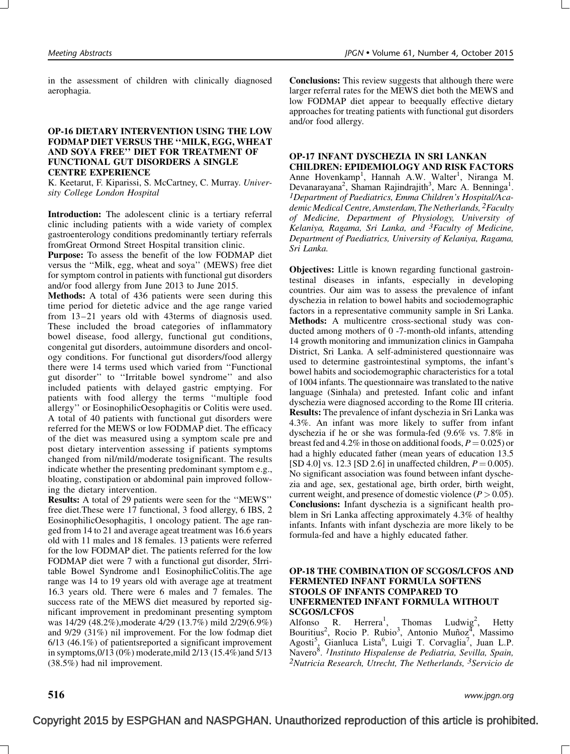in the assessment of children with clinically diagnosed aerophagia.

#### OP-16 DIETARY INTERVENTION USING THE LOW FODMAP DIET VERSUS THE ''MILK, EGG, WHEAT AND SOYA FREE'' DIET FOR TREATMENT OF FUNCTIONAL GUT DISORDERS A SINGLE CENTRE EXPERIENCE

K. Keetarut, F. Kiparissi, S. McCartney, C. Murray. University College London Hospital

Introduction: The adolescent clinic is a tertiary referral clinic including patients with a wide variety of complex gastroenterology conditions predominantly tertiary referrals fromGreat Ormond Street Hospital transition clinic.

Purpose: To assess the benefit of the low FODMAP diet versus the ''Milk, egg, wheat and soya'' (MEWS) free diet for symptom control in patients with functional gut disorders and/or food allergy from June 2013 to June 2015.

Methods: A total of 436 patients were seen during this time period for dietetic advice and the age range varied from 13–21 years old with 43terms of diagnosis used. These included the broad categories of inflammatory bowel disease, food allergy, functional gut conditions, congenital gut disorders, autoimmune disorders and oncology conditions. For functional gut disorders/food allergy there were 14 terms used which varied from ''Functional gut disorder'' to ''Irritable bowel syndrome'' and also included patients with delayed gastric emptying. For patients with food allergy the terms ''multiple food allergy'' or EosinophilicOesophagitis or Colitis were used. A total of 40 patients with functional gut disorders were referred for the MEWS or low FODMAP diet. The efficacy of the diet was measured using a symptom scale pre and post dietary intervention assessing if patients symptoms changed from nil/mild/moderate tosignificant. The results indicate whether the presenting predominant symptom e.g., bloating, constipation or abdominal pain improved following the dietary intervention.

Results: A total of 29 patients were seen for the ''MEWS'' free diet.These were 17 functional, 3 food allergy, 6 IBS, 2 EosinophilicOesophagitis, 1 oncology patient. The age ranged from 14 to 21 and average ageat treatment was 16.6 years old with 11 males and 18 females. 13 patients were referred for the low FODMAP diet. The patients referred for the low FODMAP diet were 7 with a functional gut disorder, 5Irritable Bowel Syndrome and1 EosinophilicColitis.The age range was 14 to 19 years old with average age at treatment 16.3 years old. There were 6 males and 7 females. The success rate of the MEWS diet measured by reported significant improvement in predominant presenting symptom was 14/29 (48.2%),moderate 4/29 (13.7%) mild 2/29(6.9%) and 9/29 (31%) nil improvement. For the low fodmap diet 6/13 (46.1%) of patientsreported a significant improvement in symptoms,0/13 (0%) moderate,mild 2/13 (15.4%)and 5/13 (38.5%) had nil improvement.

Conclusions: This review suggests that although there were larger referral rates for the MEWS diet both the MEWS and low FODMAP diet appear to beequally effective dietary approaches for treating patients with functional gut disorders and/or food allergy.

#### OP-17 INFANT DYSCHEZIA IN SRI LANKAN CHILDREN: EPIDEMIOLOGY AND RISK FACTORS

Anne Hovenkamp<sup>1</sup>, Hannah A.W. Walter<sup>1</sup>, Niranga M. Devanarayana<sup>2</sup>, Shaman Rajindrajith<sup>3</sup>, Marc A. Benninga<sup>1</sup> . 1Department of Paediatrics, Emma Children's Hospital/Academic Medical Centre, Amsterdam, The Netherlands, 2Faculty of Medicine, Department of Physiology, University of Kelaniya, Ragama, Sri Lanka, and  $3$ Faculty of Medicine, Department of Paediatrics, University of Kelaniya, Ragama, Sri Lanka.

Objectives: Little is known regarding functional gastrointestinal diseases in infants, especially in developing countries. Our aim was to assess the prevalence of infant dyschezia in relation to bowel habits and sociodemographic factors in a representative community sample in Sri Lanka. Methods: A multicentre cross-sectional study was conducted among mothers of 0 -7-month-old infants, attending 14 growth monitoring and immunization clinics in Gampaha District, Sri Lanka. A self-administered questionnaire was used to determine gastrointestinal symptoms, the infant's bowel habits and sociodemographic characteristics for a total of 1004 infants. The questionnaire was translated to the native language (Sinhala) and pretested. Infant colic and infant dyschezia were diagnosed according to the Rome III criteria. Results: The prevalence of infant dyschezia in Sri Lanka was 4.3%. An infant was more likely to suffer from infant dyschezia if he or she was formula-fed (9.6% vs. 7.8% in breast fed and 4.2% in those on additional foods,  $P = 0.025$ ) or had a highly educated father (mean years of education 13.5 [SD 4.0] vs. 12.3 [SD 2.6] in unaffected children,  $P = 0.005$ ). No significant association was found between infant dyschezia and age, sex, gestational age, birth order, birth weight, current weight, and presence of domestic violence  $(P > 0.05)$ . Conclusions: Infant dyschezia is a significant health problem in Sri Lanka affecting approximately 4.3% of healthy infants. Infants with infant dyschezia are more likely to be formula-fed and have a highly educated father.

#### OP-18 THE COMBINATION OF SCGOS/LCFOS AND FERMENTED INFANT FORMULA SOFTENS STOOLS OF INFANTS COMPARED TO UNFERMENTED INFANT FORMULA WITHOUT SCGOS/LCFOS

Alfonso R. Herrera<sup>1</sup>, Thomas Ludwig<sup>2</sup>, , Hetty Bouritius<sup>2</sup>, Rocio P. Rubio<sup>3</sup>, Antonio Muñoz<sup>4</sup>, Massimo Agosti<sup>5</sup>, Gianluca Lista<sup>6</sup>, Luigi T. Corvaglia<sup>7</sup>, Juan L.P. Navero<sup>8</sup>. <sup>1</sup>Instituto Hispalense de Pediatria, Sevilla, Spain, <sup>2</sup>Nutricia Research, Utrecht, The Netherlands,  $3$ Servicio de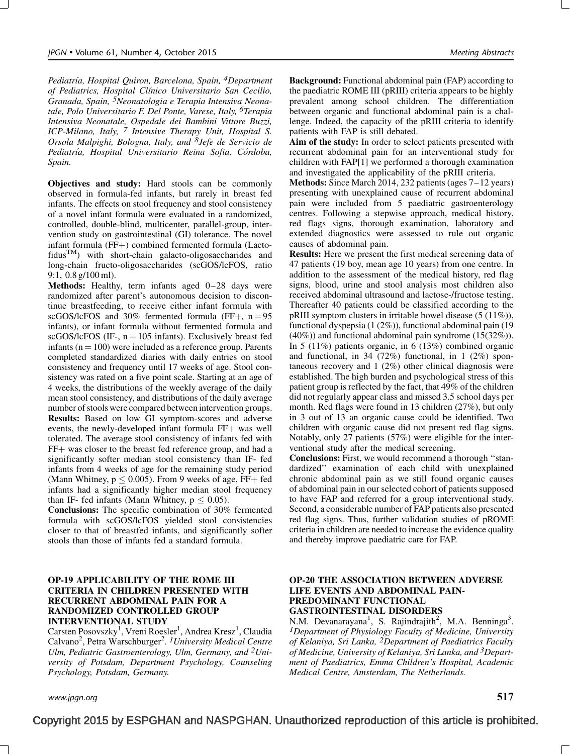Pediatría, Hospital Quiron, Barcelona, Spain, <sup>4</sup>Department of Pediatrics, Hospital Clínico Universitario San Cecilio, Granada, Spain, 5Neonatologia e Terapia Intensiva Neonatale, Polo Universitario F. Del Ponte, Varese, Italy, 6Terapia Intensiva Neonatale, Ospedale dei Bambini Vittore Buzzi, ICP-Milano, Italy, 7 Intensive Therapy Unit, Hospital S. Orsola Malpighi, Bologna, Italy, and 8Jefe de Servicio de Pediatría, Hospital Universitario Reina Sofia, Córdoba, Spain.

Objectives and study: Hard stools can be commonly observed in formula-fed infants, but rarely in breast fed infants. The effects on stool frequency and stool consistency of a novel infant formula were evaluated in a randomized, controlled, double-blind, multicenter, parallel-group, intervention study on gastrointestinal (GI) tolerance. The novel infant formula (FF $+$ ) combined fermented formula (Lacto $fidus<sup>TM</sup>$  with short-chain galacto-oligosaccharides and long-chain fructo-oligosaccharides (scGOS/lcFOS, ratio 9:1, 0.8 g/100 ml).

Methods: Healthy, term infants aged 0-28 days were randomized after parent's autonomous decision to discontinue breastfeeding, to receive either infant formula with scGOS/lcFOS and 30% fermented formula (FF+,  $n = 95$ infants), or infant formula without fermented formula and scGOS/lcFOS (IF-,  $n = 105$  infants). Exclusively breast fed infants ( $n = 100$ ) were included as a reference group. Parents completed standardized diaries with daily entries on stool consistency and frequency until 17 weeks of age. Stool consistency was rated on a five point scale. Starting at an age of 4 weeks, the distributions of the weekly average of the daily mean stool consistency, and distributions of the daily average number of stools were compared between intervention groups. Results: Based on low GI symptom-scores and adverse events, the newly-developed infant formula  $FF+$  was well tolerated. The average stool consistency of infants fed with FF+ was closer to the breast fed reference group, and had a significantly softer median stool consistency than IF- fed infants from 4 weeks of age for the remaining study period (Mann Whitney,  $p \leq 0.005$ ). From 9 weeks of age, FF+ fed infants had a significantly higher median stool frequency than IF- fed infants (Mann Whitney,  $p \leq 0.05$ ).

Conclusions: The specific combination of 30% fermented formula with scGOS/lcFOS yielded stool consistencies closer to that of breastfed infants, and significantly softer stools than those of infants fed a standard formula.

#### OP-19 APPLICABILITY OF THE ROME III CRITERIA IN CHILDREN PRESENTED WITH RECURRENT ABDOMINAL PAIN FOR A RANDOMIZED CONTROLLED GROUP INTERVENTIONAL STUDY

Carsten Posovszky<sup>1</sup>, Vreni Roesler<sup>1</sup>, Andrea Kresz<sup>1</sup>, Claudia Calvano<sup>2</sup>, Petra Warschburger<sup>2</sup>. <sup>1</sup>University Medical Centre Ulm, Pediatric Gastroenterology, Ulm, Germany, and 2University of Potsdam, Department Psychology, Counseling Psychology, Potsdam, Germany.

Background: Functional abdominal pain (FAP) according to the paediatric ROME III (pRIII) criteria appears to be highly prevalent among school children. The differentiation between organic and functional abdominal pain is a challenge. Indeed, the capacity of the pRIII criteria to identify patients with FAP is still debated.

Aim of the study: In order to select patients presented with recurrent abdominal pain for an interventional study for children with FAP[1] we performed a thorough examination and investigated the applicability of the pRIII criteria.

Methods: Since March 2014, 232 patients (ages 7–12 years) presenting with unexplained cause of recurrent abdominal pain were included from 5 paediatric gastroenterology centres. Following a stepwise approach, medical history, red flags signs, thorough examination, laboratory and extended diagnostics were assessed to rule out organic causes of abdominal pain.

Results: Here we present the first medical screening data of 47 patients (19 boy, mean age 10 years) from one centre. In addition to the assessment of the medical history, red flag signs, blood, urine and stool analysis most children also received abdominal ultrasound and lactose-/fructose testing. Thereafter 40 patients could be classified according to the pRIII symptom clusters in irritable bowel disease (5 (11%)), functional dyspepsia (1 (2%)), functional abdominal pain (19  $(40\%)$  and functional abdominal pain syndrome  $(15(32\%)$ . In 5 (11%) patients organic, in 6 (13%) combined organic and functional, in 34 (72%) functional, in 1 (2%) spontaneous recovery and 1 (2%) other clinical diagnosis were established. The high burden and psychological stress of this patient group is reflected by the fact, that 49% of the children did not regularly appear class and missed 3.5 school days per month. Red flags were found in 13 children (27%), but only in 3 out of 13 an organic cause could be identified. Two children with organic cause did not present red flag signs. Notably, only 27 patients (57%) were eligible for the interventional study after the medical screening.

Conclusions: First, we would recommend a thorough ''standardized'' examination of each child with unexplained chronic abdominal pain as we still found organic causes of abdominal pain in our selected cohort of patients supposed to have FAP and referred for a group interventional study. Second, a considerable number of FAP patients also presented red flag signs. Thus, further validation studies of pROME criteria in children are needed to increase the evidence quality and thereby improve paediatric care for FAP.

#### OP-20 THE ASSOCIATION BETWEEN ADVERSE LIFE EVENTS AND ABDOMINAL PAIN-PREDOMINANT FUNCTIONAL GASTROINTESTINAL DISORDERS

N.M. Devanarayana<sup>1</sup>, S. Rajindrajith<sup>2</sup>, M.A. Benninga<sup>3</sup> . 1Department of Physiology Faculty of Medicine, University of Kelaniya, Sri Lanka, 2Department of Paediatrics Faculty of Medicine, University of Kelaniya, Sri Lanka, and 3Department of Paediatrics, Emma Children's Hospital, Academic Medical Centre, Amsterdam, The Netherlands.

www.jpgn.org  $517$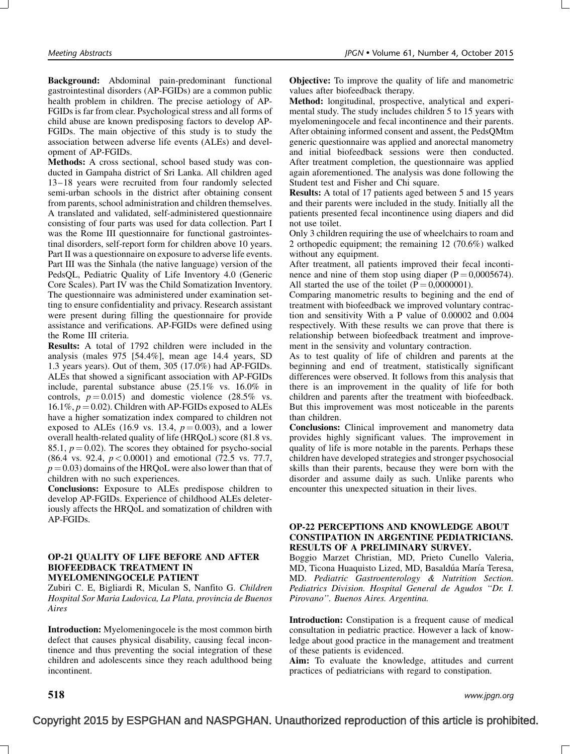Background: Abdominal pain-predominant functional gastrointestinal disorders (AP-FGIDs) are a common public health problem in children. The precise aetiology of AP-FGIDs is far from clear. Psychological stress and all forms of child abuse are known predisposing factors to develop AP-FGIDs. The main objective of this study is to study the association between adverse life events (ALEs) and development of AP-FGIDs.

Methods: A cross sectional, school based study was conducted in Gampaha district of Sri Lanka. All children aged 13–18 years were recruited from four randomly selected semi-urban schools in the district after obtaining consent from parents, school administration and children themselves. A translated and validated, self-administered questionnaire consisting of four parts was used for data collection. Part I was the Rome III questionnaire for functional gastrointestinal disorders, self-report form for children above 10 years. Part II was a questionnaire on exposure to adverse life events. Part III was the Sinhala (the native language) version of the PedsQL, Pediatric Quality of Life Inventory 4.0 (Generic Core Scales). Part IV was the Child Somatization Inventory. The questionnaire was administered under examination setting to ensure confidentiality and privacy. Research assistant were present during filling the questionnaire for provide assistance and verifications. AP-FGIDs were defined using the Rome III criteria.

Results: A total of 1792 children were included in the analysis (males 975 [54.4%], mean age 14.4 years, SD 1.3 years years). Out of them, 305 (17.0%) had AP-FGIDs. ALEs that showed a significant association with AP-FGIDs include, parental substance abuse (25.1% vs. 16.0% in controls,  $p = 0.015$ ) and domestic violence (28.5% vs.  $16.1\%, p = 0.02$ . Children with AP-FGIDs exposed to ALEs have a higher somatization index compared to children not exposed to ALEs (16.9 vs. 13.4,  $p = 0.003$ ), and a lower overall health-related quality of life (HRQoL) score (81.8 vs. 85.1,  $p = 0.02$ ). The scores they obtained for psycho-social  $(86.4 \text{ vs. } 92.4, p < 0.0001)$  and emotional (72.5 vs. 77.7,  $p = 0.03$ ) domains of the HRQoL were also lower than that of children with no such experiences.

Conclusions: Exposure to ALEs predispose children to develop AP-FGIDs. Experience of childhood ALEs deleteriously affects the HRQoL and somatization of children with AP-FGIDs.

#### OP-21 QUALITY OF LIFE BEFORE AND AFTER BIOFEEDBACK TREATMENT IN MYELOMENINGOCELE PATIENT

Zubiri C. E, Bigliardi R, Miculan S, Nanfito G. Children Hospital Sor Maria Ludovica, La Plata, provincia de Buenos Aires

Introduction: Myelomeningocele is the most common birth defect that causes physical disability, causing fecal incontinence and thus preventing the social integration of these children and adolescents since they reach adulthood being incontinent.

Objective: To improve the quality of life and manometric values after biofeedback therapy.

Method: longitudinal, prospective, analytical and experimental study. The study includes children 5 to 15 years with myelomeningocele and fecal incontinence and their parents. After obtaining informed consent and assent, the PedsQMtm generic questionnaire was applied and anorectal manometry and initial biofeedback sessions were then conducted. After treatment completion, the questionnaire was applied again aforementioned. The analysis was done following the Student test and Fisher and Chi square.

Results: A total of 17 patients aged between 5 and 15 years and their parents were included in the study. Initially all the patients presented fecal incontinence using diapers and did not use toilet.

Only 3 children requiring the use of wheelchairs to roam and 2 orthopedic equipment; the remaining 12 (70.6%) walked without any equipment.

After treatment, all patients improved their fecal incontinence and nine of them stop using diaper  $(P = 0,0005674)$ . All started the use of the toilet  $(P = 0.0000001)$ .

Comparing manometric results to begining and the end of treatment with biofeedback we improved voluntary contraction and sensitivity With a P value of 0.00002 and 0.004 respectively. With these results we can prove that there is relationship between biofeedback treatment and improvement in the sensivity and voluntary contraction.

As to test quality of life of children and parents at the beginning and end of treatment, statistically significant differences were observed. It follows from this analysis that there is an improvement in the quality of life for both children and parents after the treatment with biofeedback. But this improvement was most noticeable in the parents than children.

Conclusions: Clinical improvement and manometry data provides highly significant values. The improvement in quality of life is more notable in the parents. Perhaps these children have developed strategies and stronger psychosocial skills than their parents, because they were born with the disorder and assume daily as such. Unlike parents who encounter this unexpected situation in their lives.

#### OP-22 PERCEPTIONS AND KNOWLEDGE ABOUT CONSTIPATION IN ARGENTINE PEDIATRICIANS. RESULTS OF A PRELIMINARY SURVEY.

Boggio Marzet Christian, MD, Prieto Cunello Valeria, MD, Ticona Huaquisto Lized, MD, Basaldúa María Teresa, MD. Pediatric Gastroenterology & Nutrition Section. Pediatrics Division. Hospital General de Agudos ''Dr. I. Pirovano''. Buenos Aires. Argentina.

Introduction: Constipation is a frequent cause of medical consultation in pediatric practice. However a lack of knowledge about good practice in the management and treatment of these patients is evidenced.

Aim: To evaluate the knowledge, attitudes and current practices of pediatricians with regard to constipation.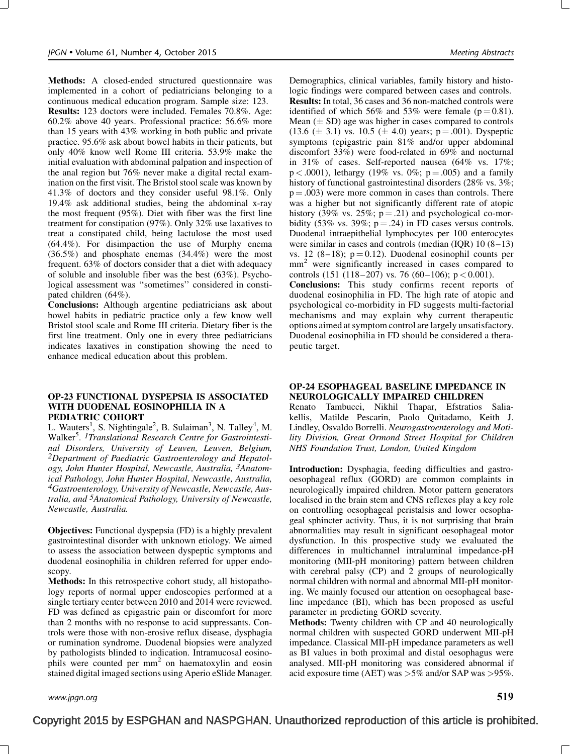Methods: A closed-ended structured questionnaire was implemented in a cohort of pediatricians belonging to a continuous medical education program. Sample size: 123. Results: 123 doctors were included. Females 70.8%. Age: 60.2% above 40 years. Professional practice: 56.6% more than 15 years with 43% working in both public and private practice. 95.6% ask about bowel habits in their patients, but only 40% know well Rome III criteria. 53.9% make the initial evaluation with abdominal palpation and inspection of the anal region but 76% never make a digital rectal examination on the first visit. The Bristol stool scale was known by 41.3% of doctors and they consider useful 98.1%. Only 19.4% ask additional studies, being the abdominal x-ray the most frequent (95%). Diet with fiber was the first line treatment for constipation (97%). Only 32% use laxatives to treat a constipated child, being lactulose the most used (64.4%). For disimpaction the use of Murphy enema (36.5%) and phosphate enemas (34.4%) were the most frequent. 63% of doctors consider that a diet with adequacy of soluble and insoluble fiber was the best (63%). Psychological assessment was ''sometimes'' considered in constipated children (64%).

Conclusions: Although argentine pediatricians ask about bowel habits in pediatric practice only a few know well Bristol stool scale and Rome III criteria. Dietary fiber is the first line treatment. Only one in every three pediatricians indicates laxatives in constipation showing the need to enhance medical education about this problem.

#### OP-23 FUNCTIONAL DYSPEPSIA IS ASSOCIATED WITH DUODENAL EOSINOPHILIA IN A PEDIATRIC COHORT

L. Wauters<sup>1</sup>, S. Nightingale<sup>2</sup>, B. Sulaiman<sup>3</sup>, N. Talley<sup>4</sup>, M. Walker<sup>5</sup>. <sup>1</sup>Translational Research Centre for Gastrointestinal Disorders, University of Leuven, Leuven, Belgium, 2Department of Paediatric Gastroenterology and Hepatology, John Hunter Hospital, Newcastle, Australia, 3Anatomical Pathology, John Hunter Hospital, Newcastle, Australia, 4Gastroenterology, University of Newcastle, Newcastle, Australia, and 5Anatomical Pathology, University of Newcastle, Newcastle, Australia.

Objectives: Functional dyspepsia (FD) is a highly prevalent gastrointestinal disorder with unknown etiology. We aimed to assess the association between dyspeptic symptoms and duodenal eosinophilia in children referred for upper endoscopy.

Methods: In this retrospective cohort study, all histopathology reports of normal upper endoscopies performed at a single tertiary center between 2010 and 2014 were reviewed. FD was defined as epigastric pain or discomfort for more than 2 months with no response to acid suppressants. Controls were those with non-erosive reflux disease, dysphagia or rumination syndrome. Duodenal biopsies were analyzed by pathologists blinded to indication. Intramucosal eosinophils were counted per mm<sup>2</sup> on haematoxylin and eosin stained digital imaged sections using Aperio eSlide Manager. Demographics, clinical variables, family history and histo-

logic findings were compared between cases and controls. Results: In total, 36 cases and 36 non-matched controls were identified of which 56% and 53% were female ( $p = 0.81$ ). Mean  $(\pm SD)$  age was higher in cases compared to controls  $(13.6 \ (\pm 3.1) \text{ vs. } 10.5 \ (\pm 4.0) \text{ years}; \ \text{p} = .001)$ . Dyspeptic symptoms (epigastric pain 81% and/or upper abdominal discomfort 33%) were food-related in 69% and nocturnal in 31% of cases. Self-reported nausea (64% vs. 17%;  $p < .0001$ ), lethargy (19% vs. 0%;  $p = .005$ ) and a family history of functional gastrointestinal disorders (28% vs. 3%;  $p = .003$ ) were more common in cases than controls. There was a higher but not significantly different rate of atopic history (39% vs. 25%;  $p = .21$ ) and psychological co-morbidity (53% vs. 39%;  $p = .24$ ) in FD cases versus controls. Duodenal intraepithelial lymphocytes per 100 enterocytes were similar in cases and controls (median (IQR) 10 (8–13) vs. 12 (8–18);  $p = 0.12$ ). Duodenal eosinophil counts per mm<sup>2</sup> were significantly increased in cases compared to controls (151 (118–207) vs. 76 (60–106);  $p < 0.001$ ).

Conclusions: This study confirms recent reports of duodenal eosinophilia in FD. The high rate of atopic and psychological co-morbidity in FD suggests multi-factorial mechanisms and may explain why current therapeutic options aimed at symptom control are largely unsatisfactory. Duodenal eosinophilia in FD should be considered a therapeutic target.

#### OP-24 ESOPHAGEAL BASELINE IMPEDANCE IN NEUROLOGICALLY IMPAIRED CHILDREN

Renato Tambucci, Nikhil Thapar, Efstratios Saliakellis, Matilde Pescarin, Paolo Quitadamo, Keith J. Lindley, Osvaldo Borrelli. Neurogastroenterology and Motility Division, Great Ormond Street Hospital for Children NHS Foundation Trust, London, United Kingdom

Introduction: Dysphagia, feeding difficulties and gastrooesophageal reflux (GORD) are common complaints in neurologically impaired children. Motor pattern generators localised in the brain stem and CNS reflexes play a key role on controlling oesophageal peristalsis and lower oesophageal sphincter activity. Thus, it is not surprising that brain abnormalities may result in significant oesophageal motor dysfunction. In this prospective study we evaluated the differences in multichannel intraluminal impedance-pH monitoring (MII-pH monitoring) pattern between children with cerebral palsy (CP) and 2 groups of neurologically normal children with normal and abnormal MII-pH monitoring. We mainly focused our attention on oesophageal baseline impedance (BI), which has been proposed as useful parameter in predicting GORD severity.

Methods: Twenty children with CP and 40 neurologically normal children with suspected GORD underwent MII-pH impedance. Classical MII-pH impedance parameters as well as BI values in both proximal and distal oesophagus were analysed. MII-pH monitoring was considered abnormal if acid exposure time (AET) was  $>5\%$  and/or SAP was  $>95\%$ .

www.jpgn.org  $519$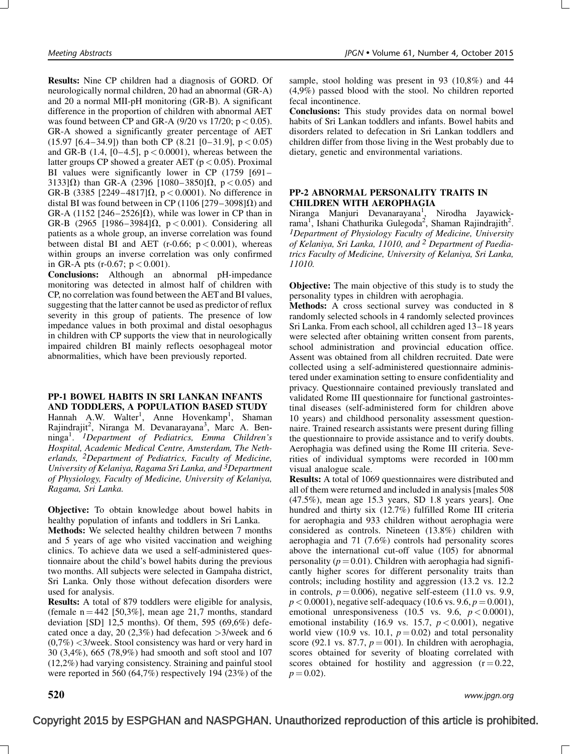Results: Nine CP children had a diagnosis of GORD. Of neurologically normal children, 20 had an abnormal (GR-A) and 20 a normal MII-pH monitoring (GR-B). A significant difference in the proportion of children with abnormal AET was found between CP and GR-A (9/20 vs 17/20;  $p < 0.05$ ). GR-A showed a significantly greater percentage of AET (15.97 [6.4–34.9]) than both CP (8.21 [0–31.9],  $p < 0.05$ ) and GR-B (1.4,  $[0-4.5]$ ,  $p < 0.0001$ ), whereas between the latter groups CP showed a greater AET ( $p < 0.05$ ). Proximal BI values were significantly lower in CP (1759 [691– 3133] $\Omega$ ) than GR-A (2396 [1080–3850] $\Omega$ , p < 0.05) and GR-B (3385 [2249–4817] $\Omega$ , p < 0.0001). No difference in distal BI was found between in CP (1106 [279 – 3098] $\Omega$ ) and GR-A (1152 [246–2526] $\Omega$ ), while was lower in CP than in GR-B (2965 [1986–3984] $\Omega$ , p < 0.001). Considering all patients as a whole group, an inverse correlation was found between distal BI and AET (r-0.66;  $p < 0.001$ ), whereas within groups an inverse correlation was only confirmed in GR-A pts (r-0.67;  $p < 0.001$ ).

Conclusions: Although an abnormal pH-impedance monitoring was detected in almost half of children with CP, no correlation was found between the AETand BI values, suggesting that the latter cannot be used as predictor of reflux severity in this group of patients. The presence of low impedance values in both proximal and distal oesophagus in children with CP supports the view that in neurologically impaired children BI mainly reflects oesophageal motor abnormalities, which have been previously reported.

#### PP-1 BOWEL HABITS IN SRI LANKAN INFANTS AND TODDLERS, A POPULATION BASED STUDY

Hannah A.W. Walter<sup>1</sup>, Anne Hovenkamp<sup>1</sup>, Shaman Rajindrajit<sup>2</sup>, Niranga M. Devanarayana<sup>3</sup>, Marc A. Benninga<sup>1</sup>. <sup>I</sup>Department of Pediatrics, Emma Children's Hospital, Academic Medical Centre, Amsterdam, The Netherlands, 2Department of Pediatrics, Faculty of Medicine, University of Kelaniya, Ragama Sri Lanka, and 3Department of Physiology, Faculty of Medicine, University of Kelaniya, Ragama, Sri Lanka.

Objective: To obtain knowledge about bowel habits in healthy population of infants and toddlers in Sri Lanka.

Methods: We selected healthy children between 7 months and 5 years of age who visited vaccination and weighing clinics. To achieve data we used a self-administered questionnaire about the child's bowel habits during the previous two months. All subjects were selected in Gampaha district, Sri Lanka. Only those without defecation disorders were used for analysis.

Results: A total of 879 toddlers were eligible for analysis, (female  $n = 442$  [50,3%], mean age 21,7 months, standard deviation [SD] 12,5 months). Of them, 595 (69,6%) defecated once a day, 20 (2,3%) had defecation  $>3$ /week and 6  $(0,7\%)$  < 3/week. Stool consistency was hard or very hard in 30 (3,4%), 665 (78,9%) had smooth and soft stool and 107 (12,2%) had varying consistency. Straining and painful stool were reported in 560 (64,7%) respectively 194 (23%) of the

sample, stool holding was present in 93 (10,8%) and 44 (4,9%) passed blood with the stool. No children reported fecal incontinence.

Conclusions: This study provides data on normal bowel habits of Sri Lankan toddlers and infants. Bowel habits and disorders related to defecation in Sri Lankan toddlers and children differ from those living in the West probably due to dietary, genetic and environmental variations.

#### PP-2 ABNORMAL PERSONALITY TRAITS IN CHILDREN WITH AEROPHAGIA

Niranga Manjuri Devanarayana<sup>1</sup>, Nirodha Jayawickrama<sup>1</sup>, Ishani Chathurika Gulegoda<sup>2</sup>, Shaman Rajindrajith<sup>2</sup> <sup>1</sup>Department of Physiology Faculty of Medicine, University of Kelaniya, Sri Lanka, 11010, and 2 Department of Paediatrics Faculty of Medicine, University of Kelaniya, Sri Lanka, 11010.

Objective: The main objective of this study is to study the personality types in children with aerophagia.

Methods: A cross sectional survey was conducted in 8 randomly selected schools in 4 randomly selected provinces Sri Lanka. From each school, all cchildren aged 13–18 years were selected after obtaining written consent from parents, school administration and provincial education office. Assent was obtained from all children recruited. Date were collected using a self-administered questionnaire administered under examination setting to ensure confidentiality and privacy. Questionnaire contained previously translated and validated Rome III questionnaire for functional gastrointestinal diseases (self-administered form for children above 10 years) and childhood personality assessment questionnaire. Trained research assistants were present during filling the questionnaire to provide assistance and to verify doubts. Aerophagia was defined using the Rome III criteria. Severities of individual symptoms were recorded in 100 mm visual analogue scale.

Results: A total of 1069 questionnaires were distributed and all of them were returned and included in analysis [males 508 (47.5%), mean age 15.3 years, SD 1.8 years years]. One hundred and thirty six (12.7%) fulfilled Rome III criteria for aerophagia and 933 children without aerophagia were considered as controls. Nineteen (13.8%) children with aerophagia and 71 (7.6%) controls had personality scores above the international cut-off value (105) for abnormal personality ( $p = 0.01$ ). Children with aerophagia had significantly higher scores for different personality traits than controls; including hostility and aggression (13.2 vs. 12.2 in controls,  $p = 0.006$ ), negative self-esteem (11.0 vs. 9.9,  $p < 0.0001$ ), negative self-adequacy (10.6 vs. 9.6,  $p = 0.001$ ), emotional unresponsiveness (10.5 vs. 9.6,  $p < 0.0001$ ), emotional instability (16.9 vs. 15.7,  $p < 0.001$ ), negative world view (10.9 vs. 10.1,  $p = 0.02$ ) and total personality score (92.1 vs. 87.7,  $p = 001$ ). In children with aerophagia, scores obtained for severity of bloating correlated with scores obtained for hostility and aggression  $(r = 0.22, ...)$  $p = 0.02$ ).

 $\bf 520$  www.jpgn.org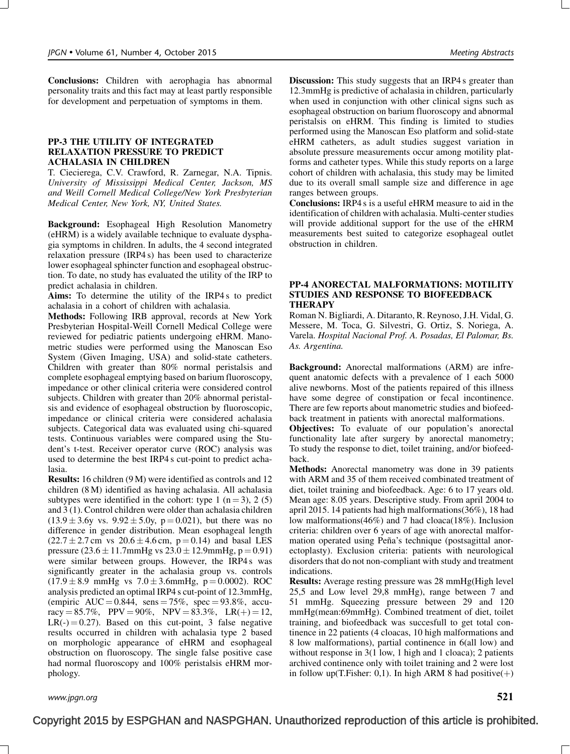Conclusions: Children with aerophagia has abnormal personality traits and this fact may at least partly responsible for development and perpetuation of symptoms in them.

#### PP-3 THE UTILITY OF INTEGRATED RELAXATION PRESSURE TO PREDICT ACHALASIA IN CHILDREN

T. Ciecierega, C.V. Crawford, R. Zarnegar, N.A. Tipnis. University of Mississippi Medical Center, Jackson, MS and Weill Cornell Medical College/New York Presbyterian Medical Center, New York, NY, United States.

Background: Esophageal High Resolution Manometry (eHRM) is a widely available technique to evaluate dysphagia symptoms in children. In adults, the 4 second integrated relaxation pressure (IRP4 s) has been used to characterize lower esophageal sphincter function and esophageal obstruction. To date, no study has evaluated the utility of the IRP to predict achalasia in children.

Aims: To determine the utility of the IRP4 s to predict achalasia in a cohort of children with achalasia.

Methods: Following IRB approval, records at New York Presbyterian Hospital-Weill Cornell Medical College were reviewed for pediatric patients undergoing eHRM. Manometric studies were performed using the Manoscan Eso System (Given Imaging, USA) and solid-state catheters. Children with greater than 80% normal peristalsis and complete esophageal emptying based on barium fluoroscopy, impedance or other clinical criteria were considered control subjects. Children with greater than 20% abnormal peristalsis and evidence of esophageal obstruction by fluoroscopic, impedance or clinical criteria were considered achalasia subjects. Categorical data was evaluated using chi-squared tests. Continuous variables were compared using the Student's t-test. Receiver operator curve (ROC) analysis was used to determine the best IRP4 s cut-point to predict achalasia.

Results: 16 children (9 M) were identified as controls and 12 children (8 M) identified as having achalasia. All achalasia subtypes were identified in the cohort: type 1 ( $n = 3$ ), 2 (5) and 3 (1). Control children were older than achalasia children  $(13.9 \pm 3.6y \text{ vs. } 9.92 \pm 5.0y, p = 0.021)$ , but there was no difference in gender distribution. Mean esophageal length  $(22.7 \pm 2.7 \text{ cm} \text{ vs } 20.6 \pm 4.6 \text{ cm}, \text{ p}=0.14)$  and basal LES pressure (23.6  $\pm$  11.7mmHg vs 23.0  $\pm$  12.9mmHg, p = 0.91) were similar between groups. However, the IRP4 s was significantly greater in the achalasia group vs. controls  $(17.9 \pm 8.9 \text{ mmHg vs } 7.0 \pm 3.6 \text{ mmHg, p} = 0.0002)$ . ROC analysis predicted an optimal IRP4 s cut-point of 12.3mmHg, (empiric  $AUC = 0.844$ , sens = 75%, spec = 93.8%, accuracy =  $85.7\%$ , PPV =  $90\%$ , NPV =  $83.3\%$ , LR(+) = 12,  $LR(-) = 0.27$ . Based on this cut-point, 3 false negative results occurred in children with achalasia type 2 based on morphologic appearance of eHRM and esophageal obstruction on fluoroscopy. The single false positive case had normal fluoroscopy and 100% peristalsis eHRM morphology.

Discussion: This study suggests that an IRP4 s greater than 12.3mmHg is predictive of achalasia in children, particularly when used in conjunction with other clinical signs such as esophageal obstruction on barium fluoroscopy and abnormal peristalsis on eHRM. This finding is limited to studies performed using the Manoscan Eso platform and solid-state eHRM catheters, as adult studies suggest variation in absolute pressure measurements occur among motility platforms and catheter types. While this study reports on a large cohort of children with achalasia, this study may be limited due to its overall small sample size and difference in age ranges between groups.

Conclusions: IRP4 s is a useful eHRM measure to aid in the identification of children with achalasia. Multi-center studies will provide additional support for the use of the eHRM measurements best suited to categorize esophageal outlet obstruction in children.

#### PP-4 ANORECTAL MALFORMATIONS: MOTILITY STUDIES AND RESPONSE TO BIOFEEDBACK **THERAPY**

Roman N. Bigliardi, A. Ditaranto, R. Reynoso, J.H. Vidal, G. Messere, M. Toca, G. Silvestri, G. Ortiz, S. Noriega, A. Varela. Hospital Nacional Prof. A. Posadas, El Palomar, Bs. As. Argentina.

Background: Anorectal malformations (ARM) are infrequent anatomic defects with a prevalence of 1 each 5000 alive newborns. Most of the patients repaired of this illness have some degree of constipation or fecal incontinence. There are few reports about manometric studies and biofeedback treatment in patients with anorectal malformations.

Objectives: To evaluate of our population's anorectal functionality late after surgery by anorectal manometry; To study the response to diet, toilet training, and/or biofeedback.

Methods: Anorectal manometry was done in 39 patients with ARM and 35 of them received combinated treatment of diet, toilet training and biofeedback. Age: 6 to 17 years old. Mean age: 8.05 years. Descriptive study. From april 2004 to april 2015. 14 patients had high malformations(36%), 18 had low malformations(46%) and 7 had cloaca(18%). Inclusion criteria: children over 6 years of age with anorectal malformation operated using Peña's technique (postsagittal anorectoplasty). Exclusion criteria: patients with neurological disorders that do not non-compliant with study and treatment indications.

Results: Average resting pressure was 28 mmHg(High level 25,5 and Low level 29,8 mmHg), range between 7 and 51 mmHg. Squeezing pressure between 29 and 120 mmHg(mean:69mmHg). Combined treatment of diet, toilet training, and biofeedback was succesfull to get total continence in 22 patients (4 cloacas, 10 high malformations and 8 low malformations), partial continence in 6(all low) and without response in 3(1 low, 1 high and 1 cloaca); 2 patients archived continence only with toilet training and 2 were lost in follow up(T.Fisher: 0,1). In high ARM 8 had positive(+)

www.jpgn.org  $521$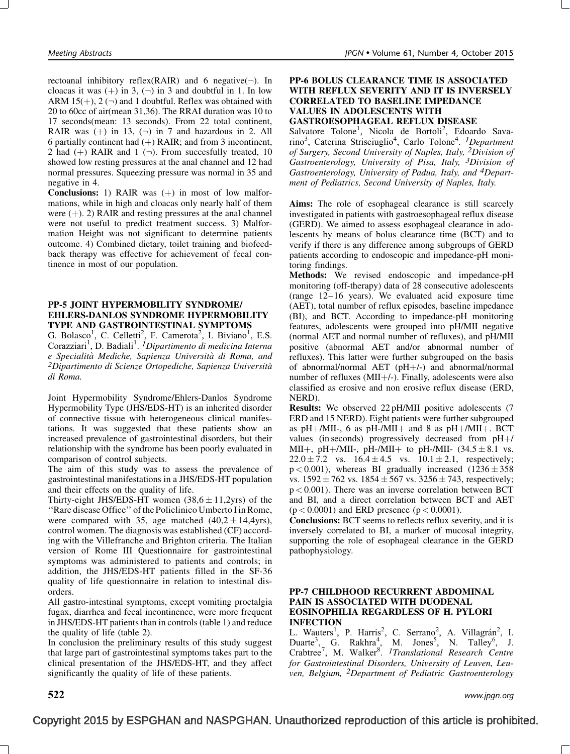rectoanal inhibitory reflex(RAIR) and 6 negative( $\neg$ ). In cloacas it was  $(+)$  in 3,  $(\neg)$  in 3 and doubtful in 1. In low ARM 15(+), 2 ( $\neg$ ) and 1 doubtful. Reflex was obtained with 20 to 60cc of air(mean 31,36). The RRAI duration was 10 to 17 seconds(mean: 13 seconds). From 22 total continent, RAIR was  $(+)$  in 13,  $(\neg)$  in 7 and hazardous in 2. All 6 partially continent had  $(+)$  RAIR; and from 3 incontinent, 2 had (+) RAIR and 1 ( $\neg$ ). From succesfully treated, 10 showed low resting pressures at the anal channel and 12 had normal pressures. Squeezing pressure was normal in 35 and negative in 4.

**Conclusions:** 1) RAIR was  $(+)$  in most of low malformations, while in high and cloacas only nearly half of them were  $(+)$ . 2) RAIR and resting pressures at the anal channel were not useful to predict treatment success. 3) Malformation Height was not significant to determine patients outcome. 4) Combined dietary, toilet training and biofeedback therapy was effective for achievement of fecal continence in most of our population.

#### PP-5 JOINT HYPERMOBILITY SYNDROME/ EHLERS-DANLOS SYNDROME HYPERMOBILITY TYPE AND GASTROINTESTINAL SYMPTOMS

G. Bolasco<sup>1</sup>, C. Celletti<sup>2</sup>, F. Camerota<sup>2</sup>, I. Biviano<sup>1</sup>, E.S. Corazziari<sup>1</sup>, D. Badiali<sup>1</sup>. <sup>*i*</sup> Dipartimento di medicina Interna e Specialita` Mediche, Sapienza Universita` di Roma, and 2Dipartimento di Scienze Ortopediche, Sapienza Universita` di Roma.

Joint Hypermobility Syndrome/Ehlers-Danlos Syndrome Hypermobility Type (JHS/EDS-HT) is an inherited disorder of connective tissue with heterogeneous clinical manifestations. It was suggested that these patients show an increased prevalence of gastrointestinal disorders, but their relationship with the syndrome has been poorly evaluated in comparison of control subjects.

The aim of this study was to assess the prevalence of gastrointestinal manifestations in a JHS/EDS-HT population and their effects on the quality of life.

Thirty-eight JHS/EDS-HT women  $(38,6 \pm 11,2yrs)$  of the ''Rare disease Office'' of the Policlinico Umberto I in Rome, were compared with 35, age matched  $(40,2 \pm 14,4yrs)$ , control women. The diagnosis was established (CF) according with the Villefranche and Brighton criteria. The Italian version of Rome III Questionnaire for gastrointestinal symptoms was administered to patients and controls; in addition, the JHS/EDS-HT patients filled in the SF-36 quality of life questionnaire in relation to intestinal disorders.

All gastro-intestinal symptoms, except vomiting proctalgia fugax, diarrhea and fecal incontinence, were more frequent in JHS/EDS-HT patients than in controls (table 1) and reduce the quality of life (table 2).

In conclusion the preliminary results of this study suggest that large part of gastrointestinal symptoms takes part to the clinical presentation of the JHS/EDS-HT, and they affect significantly the quality of life of these patients.

#### PP-6 BOLUS CLEARANCE TIME IS ASSOCIATED WITH REFLUX SEVERITY AND IT IS INVERSELY CORRELATED TO BASELINE IMPEDANCE VALUES IN ADOLESCENTS WITH GASTROESOPHAGEAL REFLUX DISEASE

Salvatore Tolone<sup>1</sup>, Nicola de Bortoli<sup>2</sup>, Edoardo Savarino<sup>3</sup>, Caterina Strisciuglio<sup>4</sup>, Carlo Tolone<sup>4</sup>. <sup>1</sup>Department of Surgery, Second University of Naples, Italy, 2Division of Gastroenterology, University of Pisa, Italy, 3Division of Gastroenterology, University of Padua, Italy, and 4Department of Pediatrics, Second University of Naples, Italy.

Aims: The role of esophageal clearance is still scarcely investigated in patients with gastroesophageal reflux disease (GERD). We aimed to assess esophageal clearance in adolescents by means of bolus clearance time (BCT) and to verify if there is any difference among subgroups of GERD patients according to endoscopic and impedance-pH monitoring findings.

Methods: We revised endoscopic and impedance-pH monitoring (off-therapy) data of 28 consecutive adolescents (range 12–16 years). We evaluated acid exposure time (AET), total number of reflux episodes, baseline impedance (BI), and BCT. According to impedance-pH monitoring features, adolescents were grouped into pH/MII negative (normal AET and normal number of refluxes), and pH/MII positive (abnormal AET and/or abnormal number of refluxes). This latter were further subgrouped on the basis of abnormal/normal AET ( $pH+/-$ ) and abnormal/normal number of refluxes ( $MIH$ -/-). Finally, adolescents were also classified as erosive and non erosive reflux disease (ERD, NERD).

Results: We observed 22 pH/MII positive adolescents (7 ERD and 15 NERD). Eight patients were further subgrouped as pH+/MII-, 6 as pH-/MII+ and 8 as pH+/MII+. BCT values (in seconds) progressively decreased from  $pH+/-$ MII+, pH+/MII-, pH-/MII+ to pH-/MII-  $(34.5 \pm 8.1 \text{ vs.})$  $22.0 \pm 7.2$  vs.  $16.4 \pm 4.5$  vs.  $10.1 \pm 2.1$ , respectively;  $p < 0.001$ ), whereas BI gradually increased  $(1236 \pm 358)$ vs.  $1592 \pm 762$  vs.  $1854 \pm 567$  vs.  $3256 \pm 743$ , respectively;  $p < 0.001$ ). There was an inverse correlation between BCT and BI, and a direct correlation between BCT and AET  $(p < 0.0001)$  and ERD presence  $(p < 0.0001)$ .

Conclusions: BCT seems to reflects reflux severity, and it is inversely correlated to BI, a marker of mucosal integrity, supporting the role of esophageal clearance in the GERD pathophysiology.

#### PP-7 CHILDHOOD RECURRENT ABDOMINAL PAIN IS ASSOCIATED WITH DUODENAL EOSINOPHILIA REGARDLESS OF H. PYLORI INFECTION

L. Wauters<sup>1</sup>, P. Harris<sup>2</sup>, C. Serrano<sup>2</sup>, A. Villagrán<sup>2</sup>, I. Duarte<sup>3</sup>, G. Rakhra<sup>4</sup>, M. Jones<sup>5</sup>, N. Talley<sup>6</sup>, J. Crabtree<sup>7</sup>, M. Walker<sup>8</sup>. <sup>1</sup>Translational Research Centre for Gastrointestinal Disorders, University of Leuven, Leuven, Belgium, 2Department of Pediatric Gastroenterology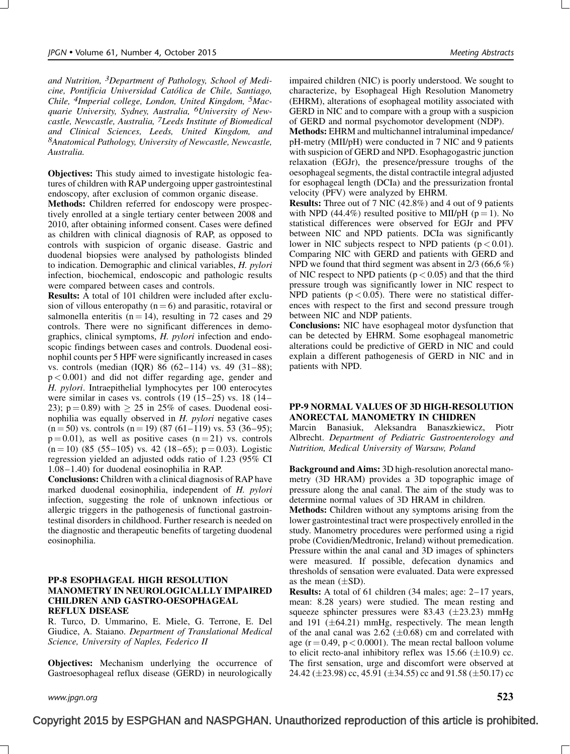and Nutrition, 3Department of Pathology, School of Medicine, Pontificia Universidad Católica de Chile, Santiago, Chile, 4Imperial college, London, United Kingdom, 5Macquarie University, Sydney, Australia, 6University of Newcastle, Newcastle, Australia, 7Leeds Institute of Biomedical and Clinical Sciences, Leeds, United Kingdom, and 8Anatomical Pathology, University of Newcastle, Newcastle, Australia.

Objectives: This study aimed to investigate histologic features of children with RAP undergoing upper gastrointestinal endoscopy, after exclusion of common organic disease.

Methods: Children referred for endoscopy were prospectively enrolled at a single tertiary center between 2008 and 2010, after obtaining informed consent. Cases were defined as children with clinical diagnosis of RAP, as opposed to controls with suspicion of organic disease. Gastric and duodenal biopsies were analysed by pathologists blinded to indication. Demographic and clinical variables, H. pylori infection, biochemical, endoscopic and pathologic results were compared between cases and controls.

Results: A total of 101 children were included after exclusion of villous enteropathy  $(n = 6)$  and parasitic, rotaviral or salmonella enteritis ( $n = 14$ ), resulting in 72 cases and 29 controls. There were no significant differences in demographics, clinical symptoms, H. pylori infection and endoscopic findings between cases and controls. Duodenal eosinophil counts per 5 HPF were significantly increased in cases vs. controls (median (IQR) 86 (62–114) vs. 49 (31–88); p < 0.001) and did not differ regarding age, gender and H. pylori. Intraepithelial lymphocytes per 100 enterocytes were similar in cases vs. controls (19 (15–25) vs. 18 (14– 23);  $p = 0.89$ ) with  $\geq 25$  in 25% of cases. Duodenal eosinophilia was equally observed in H. pylori negative cases  $(n = 50)$  vs. controls  $(n = 19)$  (87 (61–119) vs. 53 (36–95);  $p = 0.01$ ), as well as positive cases  $(n = 21)$  vs. controls  $(n = 10)$  (85 (55–105) vs. 42 (18–65);  $p = 0.03$ ). Logistic regression yielded an adjusted odds ratio of 1.23 (95% CI 1.08–1.40) for duodenal eosinophilia in RAP.

Conclusions: Children with a clinical diagnosis of RAP have marked duodenal eosinophilia, independent of H. pylori infection, suggesting the role of unknown infectious or allergic triggers in the pathogenesis of functional gastrointestinal disorders in childhood. Further research is needed on the diagnostic and therapeutic benefits of targeting duodenal eosinophilia.

#### PP-8 ESOPHAGEAL HIGH RESOLUTION MANOMETRY IN NEUROLOGICALLLY IMPAIRED CHILDREN AND GASTRO-OESOPHAGEAL REFLUX DISEASE

R. Turco, D. Ummarino, E. Miele, G. Terrone, E. Del Giudice, A. Staiano. Department of Translational Medical Science, University of Naples, Federico II

Objectives: Mechanism underlying the occurrence of Gastroesophageal reflux disease (GERD) in neurologically impaired children (NIC) is poorly understood. We sought to characterize, by Esophageal High Resolution Manometry (EHRM), alterations of esophageal motility associated with GERD in NIC and to compare with a group with a suspicion of GERD and normal psychomotor development (NDP).

Methods: EHRM and multichannel intraluminal impedance/ pH-metry (MII/pH) were conducted in 7 NIC and 9 patients with suspicion of GERD and NPD. Esophagogastric junction relaxation (EGJr), the presence/pressure troughs of the oesophageal segments, the distal contractile integral adjusted for esophageal length (DCIa) and the pressurization frontal velocity (PFV) were analyzed by EHRM.

Results: Three out of 7 NIC (42.8%) and 4 out of 9 patients with NPD (44.4%) resulted positive to MII/pH ( $p = 1$ ). No statistical differences were observed for EGJr and PFV between NIC and NPD patients. DCIa was significantly lower in NIC subjects respect to NPD patients  $(p < 0.01)$ . Comparing NIC with GERD and patients with GERD and NPD we found that third segment was absent in 2/3 (66,6 %) of NIC respect to NPD patients ( $p < 0.05$ ) and that the third pressure trough was significantly lower in NIC respect to NPD patients ( $p < 0.05$ ). There were no statistical differences with respect to the first and second pressure trough between NIC and NDP patients.

Conclusions: NIC have esophageal motor dysfunction that can be detected by EHRM. Some esophageal manometric alterations could be predictive of GERD in NIC and could explain a different pathogenesis of GERD in NIC and in patients with NPD.

#### PP-9 NORMAL VALUES OF 3D HIGH-RESOLUTION ANORECTAL MANOMETRY IN CHIDREN

Marcin Banasiuk, Aleksandra Banaszkiewicz, Piotr Albrecht. Department of Pediatric Gastroenterology and Nutrition, Medical University of Warsaw, Poland

Background and Aims: 3D high-resolution anorectal manometry (3D HRAM) provides a 3D topographic image of pressure along the anal canal. The aim of the study was to determine normal values of 3D HRAM in children.

Methods: Children without any symptoms arising from the lower gastrointestinal tract were prospectively enrolled in the study. Manometry procedures were performed using a rigid probe (Covidien/Medtronic, Ireland) without premedication. Pressure within the anal canal and 3D images of sphincters were measured. If possible, defecation dynamics and thresholds of sensation were evaluated. Data were expressed as the mean  $(\pm SD)$ .

Results: A total of 61 children (34 males; age: 2–17 years, mean: 8.28 years) were studied. The mean resting and squeeze sphincter pressures were 83.43  $(\pm 23.23)$  mmHg and 191  $(\pm 64.21)$  mmHg, respectively. The mean length of the anal canal was 2.62  $(\pm 0.68)$  cm and correlated with age ( $r = 0.49$ ,  $p < 0.0001$ ). The mean rectal balloon volume to elicit recto-anal inhibitory reflex was  $15.66 \ (\pm 10.9)$  cc. The first sensation, urge and discomfort were observed at 24.42 ( $\pm$ 23.98) cc, 45.91 ( $\pm$ 34.55) cc and 91.58 ( $\pm$ 50.17) cc

www.jpgn.org  $523$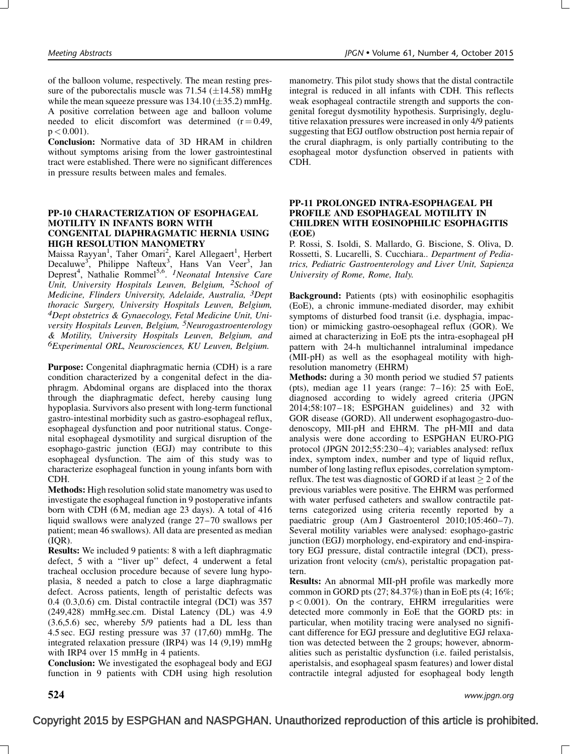of the balloon volume, respectively. The mean resting pressure of the puborectalis muscle was  $71.54 \ (\pm 14.58) \text{ mmHg}$ while the mean squeeze pressure was  $134.10 \, (\pm 35.2) \,\mathrm{mmHg}$ . A positive correlation between age and balloon volume needed to elicit discomfort was determined  $(r = 0.49,$  $p < 0.001$ ).

Conclusion: Normative data of 3D HRAM in children without symptoms arising from the lower gastrointestinal tract were established. There were no significant differences in pressure results between males and females.

#### PP-10 CHARACTERIZATION OF ESOPHAGEAL MOTILITY IN INFANTS BORN WITH CONGENITAL DIAPHRAGMATIC HERNIA USING HIGH RESOLUTION MANOMETRY

Maissa Rayyan<sup>1</sup>, Taher Omari<sup>2</sup>, Karel Allegaert<sup>1</sup>, Herbert Decaluwe<sup>3</sup>, Philippe Nafteux<sup>3</sup>, Hans Van Veer<sup>3</sup>, Jan Deprest<sup>4</sup>, Nathalie Rommel<sup>5,6</sup>. <sup>1</sup>Neonatal Intensive Care Unit, University Hospitals Leuven, Belgium, 2School of Medicine, Flinders University, Adelaide, Australia, 3Dept thoracic Surgery, University Hospitals Leuven, Belgium, 4Dept obstetrics & Gynaecology, Fetal Medicine Unit, University Hospitals Leuven, Belgium, 5Neurogastroenterology & Motility, University Hospitals Leuven, Belgium, and 6Experimental ORL, Neurosciences, KU Leuven, Belgium.

Purpose: Congenital diaphragmatic hernia (CDH) is a rare condition characterized by a congenital defect in the diaphragm. Abdominal organs are displaced into the thorax through the diaphragmatic defect, hereby causing lung hypoplasia. Survivors also present with long-term functional gastro-intestinal morbidity such as gastro-esophageal reflux, esophageal dysfunction and poor nutritional status. Congenital esophageal dysmotility and surgical disruption of the esophago-gastric junction (EGJ) may contribute to this esophageal dysfunction. The aim of this study was to characterize esophageal function in young infants born with CDH.

Methods: High resolution solid state manometry was used to investigate the esophageal function in 9 postoperative infants born with CDH (6 M, median age 23 days). A total of 416 liquid swallows were analyzed (range 27–70 swallows per patient; mean 46 swallows). All data are presented as median  $(IOR)$ .

Results: We included 9 patients: 8 with a left diaphragmatic defect, 5 with a ''liver up'' defect, 4 underwent a fetal tracheal occlusion procedure because of severe lung hypoplasia, 8 needed a patch to close a large diaphragmatic defect. Across patients, length of peristaltic defects was 0.4 (0.3,0.6) cm. Distal contractile integral (DCI) was 357 (249,428) mmHg.sec.cm. Distal Latency (DL) was 4.9 (3.6,5.6) sec, whereby 5/9 patients had a DL less than 4.5 sec. EGJ resting pressure was 37 (17,60) mmHg. The integrated relaxation pressure (IRP4) was 14 (9,19) mmHg with IRP4 over 15 mmHg in 4 patients.

Conclusion: We investigated the esophageal body and EGJ function in 9 patients with CDH using high resolution

manometry. This pilot study shows that the distal contractile integral is reduced in all infants with CDH. This reflects weak esophageal contractile strength and supports the congenital foregut dysmotility hypothesis. Surprisingly, deglutitive relaxation pressures were increased in only 4/9 patients suggesting that EGJ outflow obstruction post hernia repair of the crural diaphragm, is only partially contributing to the esophageal motor dysfunction observed in patients with CDH.

#### PP-11 PROLONGED INTRA-ESOPHAGEAL PH PROFILE AND ESOPHAGEAL MOTILITY IN CHILDREN WITH EOSINOPHILIC ESOPHAGITIS (EOE)

P. Rossi, S. Isoldi, S. Mallardo, G. Biscione, S. Oliva, D. Rossetti, S. Lucarelli, S. Cucchiara.. Department of Pediatrics, Pediatric Gastroenterology and Liver Unit, Sapienza University of Rome, Rome, Italy.

Background: Patients (pts) with eosinophilic esophagitis (EoE), a chronic immune-mediated disorder, may exhibit symptoms of disturbed food transit (i.e. dysphagia, impaction) or mimicking gastro-oesophageal reflux (GOR). We aimed at characterizing in EoE pts the intra-esophageal pH pattern with 24-h multichannel intraluminal impedance (MII-pH) as well as the esophageal motility with highresolution manometry (EHRM)

Methods: during a 30 month period we studied 57 patients (pts), median age 11 years (range: 7–16): 25 with EoE, diagnosed according to widely agreed criteria (JPGN 2014;58:107–18; ESPGHAN guidelines) and 32 with GOR disease (GORD). All underwent esophagogastro-duodenoscopy, MII-pH and EHRM. The pH-MII and data analysis were done according to ESPGHAN EURO-PIG protocol (JPGN 2012;55:230–4); variables analysed: reflux index, symptom index, number and type of liquid reflux, number of long lasting reflux episodes, correlation symptomreflux. The test was diagnostic of GORD if at least  $\geq 2$  of the previous variables were positive. The EHRM was performed with water perfused catheters and swallow contractile patterns categorized using criteria recently reported by a paediatric group (Am J Gastroenterol 2010;105:460–7). Several motility variables were analysed: esophago-gastric junction (EGJ) morphology, end-expiratory and end-inspiratory EGJ pressure, distal contractile integral (DCI), pressurization front velocity (cm/s), peristaltic propagation pattern.

Results: An abnormal MII-pH profile was markedly more common in GORD pts  $(27; 84.37%)$  than in EoE pts  $(4; 16\%);$  $p < 0.001$ ). On the contrary, EHRM irregularities were detected more commonly in EoE that the GORD pts: in particular, when motility tracing were analysed no significant difference for EGJ pressure and deglutitive EGJ relaxation was detected between the 2 groups; however, abnormalities such as peristaltic dysfunction (i.e. failed peristalsis, aperistalsis, and esophageal spasm features) and lower distal contractile integral adjusted for esophageal body length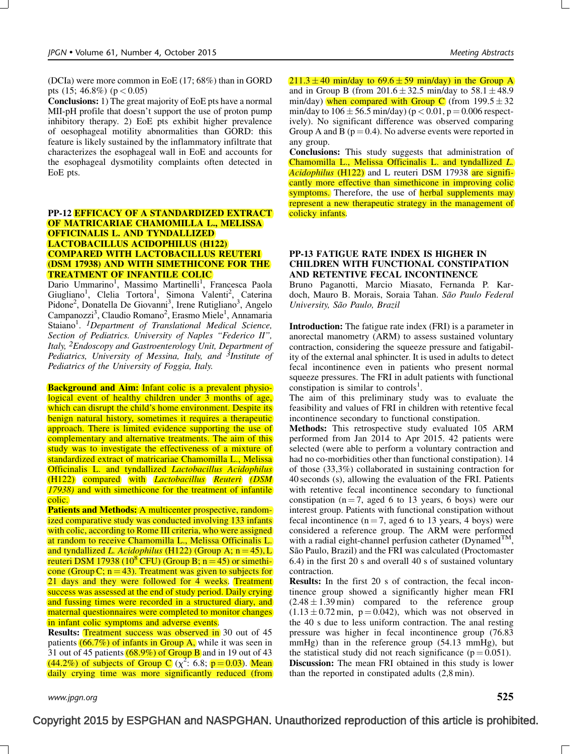(DCIa) were more common in EoE (17; 68%) than in GORD pts  $(15; 46.8\%)$   $(p < 0.05)$ 

Conclusions: 1) The great majority of EoE pts have a normal MII-pH profile that doesn't support the use of proton pump inhibitory therapy. 2) EoE pts exhibit higher prevalence of oesophageal motility abnormalities than GORD: this feature is likely sustained by the inflammatory infiltrate that characterizes the esophageal wall in EoE and accounts for the esophageal dysmotility complaints often detected in EoE pts.

#### PP-12 EFFICACY OF A STANDARDIZED EXTRACT OF MATRICARIAE CHAMOMILLA L., MELISSA OFFICINALIS L. AND TYNDALLIZED LACTOBACILLUS ACIDOPHILUS (H122) COMPARED WITH LACTOBACILLUS REUTERI (DSM 17938) AND WITH SIMETHICONE FOR THE TREATMENT OF INFANTILE COLIC

Dario Ummarino<sup>1</sup>, Massimo Martinelli<sup>1</sup>, Francesca Paola Giugliano<sup>1</sup>, Clelia Tortora<sup>1</sup>, Simona Valenti<sup>2</sup>, Caterina Pidone<sup>2</sup>, Donatella De Giovanni<sup>3</sup>, Irene Rutigliano<sup>3</sup>, Angelo Campanozzi<sup>3</sup>, Claudio Romano<sup>2</sup>, Erasmo Miele<sup>1</sup>, Annamaria Staiano<sup>1</sup>. <sup>1</sup>Department of Translational Medical Science, Section of Pediatrics. University of Naples "Federico II", Italy, 2Endoscopy and Gastroenterology Unit, Department of Pediatrics, University of Messina, Italy, and <sup>3</sup>Institute of Pediatrics of the University of Foggia, Italy.

Background and Aim: Infant colic is a prevalent physiological event of healthy children under 3 months of age, which can disrupt the child's home environment. Despite its benign natural history, sometimes it requires a therapeutic approach. There is limited evidence supporting the use of complementary and alternative treatments. The aim of this study was to investigate the effectiveness of a mixture of standardized extract of matricariae Chamomilla L., Melissa Officinalis L. and tyndallized Lactobacillus Acidophilus (H122) compared with Lactobacillus Reuteri (DSM 17938) and with simethicone for the treatment of infantile colic.

Patients and Methods: A multicenter prospective, randomized comparative study was conducted involving 133 infants with colic, according to Rome III criteria, who were assigned at random to receive Chamomilla L., Melissa Officinalis L. and tyndallized *L. Acidophilus* (H122) (Group A;  $n = 45$ ), L reuteri DSM 17938 ( $10^8$  CFU) (Group B; n = 45) or simethicone (Group C;  $n = 43$ ). Treatment was given to subjects for 21 days and they were followed for 4 weeks. Treatment success was assessed at the end of study period. Daily crying and fussing times were recorded in a structured diary, and maternal questionnaires were completed to monitor changes in infant colic symptoms and adverse events.

Results: Treatment success was observed in 30 out of 45 patients (66.7%) of infants in Group A, while it was seen in 31 out of 45 patients  $(68.9\%)$  of Group B and in 19 out of 43 (44.2%) of subjects of Group C ( $\chi^2$ : 6.8; p = 0.03). Mean daily crying time was more significantly reduced (from

 $211.3 \pm 40$  min/day to  $69.6 \pm 59$  min/day) in the Group A and in Group B (from  $201.6 \pm 32.5$  min/day to  $58.1 \pm 48.9$ min/day) when compared with Group C (from  $199.5 \pm 32$ min/day to  $106 \pm 56.5$  min/day) ( $p < 0.01$ ,  $p = 0.006$  respectively). No significant difference was observed comparing Group A and B ( $p = 0.4$ ). No adverse events were reported in any group.

Conclusions: This study suggests that administration of Chamomilla L., Melissa Officinalis L. and tyndallized L. Acidophilus (H122) and L reuteri DSM 17938 are significantly more effective than simethicone in improving colic symptoms. Therefore, the use of **herbal supplements may** represent a new therapeutic strategy in the management of colicky infants.

#### PP-13 FATIGUE RATE INDEX IS HIGHER IN CHILDREN WITH FUNCTIONAL CONSTIPATION AND RETENTIVE FECAL INCONTINENCE

Bruno Paganotti, Marcio Miasato, Fernanda P. Kardoch, Mauro B. Morais, Soraia Tahan. São Paulo Federal University, São Paulo, Brazil

Introduction: The fatigue rate index (FRI) is a parameter in anorectal manometry (ARM) to assess sustained voluntary contraction, considering the squeeze pressure and fatigability of the external anal sphincter. It is used in adults to detect fecal incontinence even in patients who present normal squeeze pressures. The FRI in adult patients with functional constipation is similar to controls<sup>1</sup>.

The aim of this preliminary study was to evaluate the feasibility and values of FRI in children with retentive fecal incontinence secondary to functional constipation.

Methods: This retrospective study evaluated 105 ARM performed from Jan 2014 to Apr 2015. 42 patients were selected (were able to perform a voluntary contraction and had no co-morbidities other than functional constipation). 14 of those (33,3%) collaborated in sustaining contraction for 40 seconds (s), allowing the evaluation of the FRI. Patients with retentive fecal incontinence secondary to functional constipation ( $n = 7$ , aged 6 to 13 years, 6 boys) were our interest group. Patients with functional constipation without fecal incontinence ( $n = 7$ , aged 6 to 13 years, 4 boys) were considered a reference group. The ARM were performed with a radial eight-channel perfusion catheter (Dynamed<sup>TM</sup>, São Paulo, Brazil) and the FRI was calculated (Proctomaster 6.4) in the first 20 s and overall 40 s of sustained voluntary contraction.

Results: In the first 20 s of contraction, the fecal incontinence group showed a significantly higher mean FRI  $(2.48 \pm 1.39 \text{ min})$  compared to the reference group  $(1.13 \pm 0.72 \text{ min}, p = 0.042)$ , which was not observed in the 40 s due to less uniform contraction. The anal resting pressure was higher in fecal incontinence group (76.83 mmHg) than in the reference group (54.13 mmHg), but the statistical study did not reach significance ( $p = 0.051$ ). Discussion: The mean FRI obtained in this study is lower than the reported in constipated adults (2,8 min).

Copyright 2015 by ESPGHAN and NASPGHAN. Unauthorized reproduction of this article is prohibited.

www.jpgn.org  $525$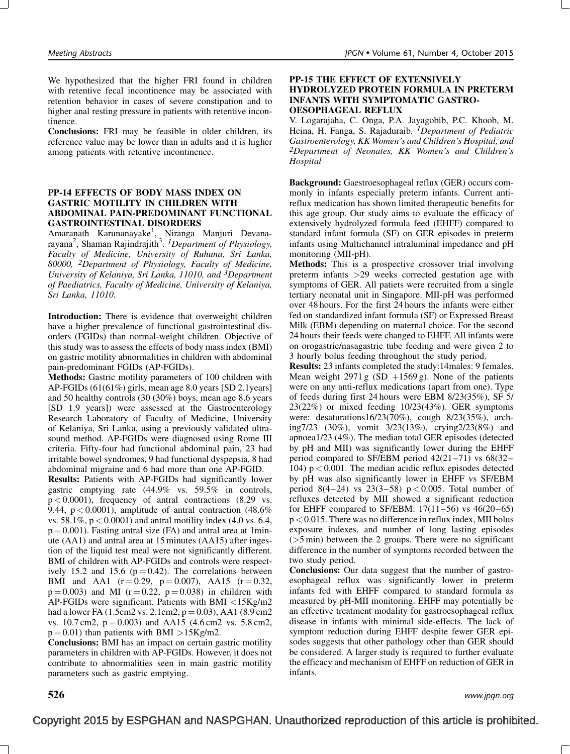We hypothesized that the higher FRI found in children with retentive fecal incontinence may be associated with retention behavior in cases of severe constipation and to higher anal resting pressure in patients with retentive incontinence.

Conclusions: FRI may be feasible in older children, its reference value may be lower than in adults and it is higher among patients with retentive incontinence.

#### PP-14 EFFECTS OF BODY MASS INDEX ON GASTRIC MOTILITY IN CHILDREN WITH ABDOMINAL PAIN-PREDOMINANT FUNCTIONAL GASTROINTESTINAL DISORDERS

Amaranath Karunanayake<sup>1</sup>, Niranga Manjuri Devanarayana<sup>2</sup>, Shaman Rajindrajith<sup>3</sup>. <sup>1</sup>Department of Physiology, Faculty of Medicine, University of Ruhuna, Sri Lanka, 80000, 2Department of Physiology, Faculty of Medicine, University of Kelaniya, Sri Lanka, 11010, and 3Department of Paediatrics, Faculty of Medicine, University of Kelaniya, Sri Lanka, 11010.

Introduction: There is evidence that overweight children have a higher prevalence of functional gastrointestinal disorders (FGIDs) than normal-weight children. Objective of this study was to assess the effects of body mass index (BMI) on gastric motility abnormalities in children with abdominal pain-predominant FGIDs (AP-FGIDs).

Methods: Gastric motility parameters of 100 children with AP-FGIDs (61(61%) girls, mean age 8.0 years [SD 2.1years] and 50 healthy controls (30 (30%) boys, mean age 8.6 years [SD 1.9 years]) were assessed at the Gastroenterology Research Laboratory of Faculty of Medicine, University of Kelaniya, Sri Lanka, using a previously validated ultrasound method. AP-FGIDs were diagnosed using Rome III criteria. Fifty-four had functional abdominal pain, 23 had irritable bowel syndromes, 9 had functional dyspepsia, 8 had abdominal migraine and 6 had more than one AP-FGID.

Results: Patients with AP-FGIDs had significantly lower gastric emptying rate (44.9% vs. 59.5% in controls,  $p < 0.0001$ ), frequency of antral contractions (8.29 vs. 9.44,  $p < 0.0001$ ), amplitude of antral contraction (48.6%) vs. 58.1%,  $p < 0.0001$ ) and antral motility index (4.0 vs. 6.4,  $p = 0.001$ ). Fasting antral size (FA) and antral area at 1minute (AA1) and antral area at 15 minutes (AA15) after ingestion of the liquid test meal were not significantly different. BMI of children with AP-FGIDs and controls were respectively 15.2 and 15.6 ( $p = 0.42$ ). The correlations between BMI and AA1  $(r=0.29, p=0.007)$ , AA15  $(r=0.32,$  $p = 0.003$ ) and MI (r = 0.22, p = 0.038) in children with AP-FGIDs were significant. Patients with BMI <15Kg/m2 had a lower FA (1.5cm2 vs. 2.1cm2,  $p = 0.03$ ), AA1 (8.9 cm2) vs. 10.7 cm2,  $p = 0.003$ ) and AA15 (4.6 cm2 vs. 5.8 cm2,  $p = 0.01$ ) than patients with BMI >15Kg/m2.

Conclusions: BMI has an impact on certain gastric motility parameters in children with AP-FGIDs. However, it does not contribute to abnormalities seen in main gastric motility parameters such as gastric emptying.

#### PP-15 THE EFFECT OF EXTENSIVELY HYDROLYZED PROTEIN FORMULA IN PRETERM INFANTS WITH SYMPTOMATIC GASTRO-OESOPHAGEAL REFLUX

V. Logarajaha, C. Onga, P.A. Jayagobib, P.C. Khoob, M. Heina, H. Fanga, S. Rajaduraib. <sup>1</sup>Department of Pediatric Gastroenterology, KK Women's and Children's Hospital, and 2Department of Neonates, KK Women's and Children's Hospital

Background: Gaestroesophageal reflux (GER) occurs commonly in infants especially preterm infants. Current antireflux medication has shown limited therapeutic benefits for this age group. Our study aims to evaluate the efficacy of extensively hydrolyzed formula feed (EHFF) compared to standard infant formula (SF) on GER episodes in preterm infants using Multichannel intraluminal impedance and pH monitoring (MII-pH).

Methods: This is a prospective crossover trial involving preterm infants >29 weeks corrected gestation age with symptoms of GER. All patiets were recruited from a single tertiary neonatal unit in Singapore. MII-pH was performed over 48 hours. For the first 24 hours the infants were either fed on standardized infant formula (SF) or Expressed Breast Milk (EBM) depending on maternal choice. For the second 24 hours their feeds were changed to EHFF. All infants were on orogastric/nasagastric tube feeding and were given 2 to 3 hourly bolus feeding throughout the study period.

Results: 23 infants completed the study:14males: 9 females. Mean weight 2971 g (SD +1569 g). None of the patients were on any anti-reflux medications (apart from one). Type of feeds during first 24 hours were EBM 8/23(35%), SF 5/ 23(22%) or mixed feeding 10/23(43%). GER symptoms were: desaturations16/23(70%), cough 8/23(35%), arching7/23 (30%), vomit 3/23(13%), crying2/23(8%) and apnoea1/23 (4%). The median total GER episodes (detected by pH and MII) was significantly lower during the EHFF period compared to SF/EBM period 42(21–71) vs 68(32– 104)  $p < 0.001$ . The median acidic reflux episodes detected by pH was also significantly lower in EHFF vs SF/EBM period 8(4–24) vs  $23(3–58)$  p  $< 0.005$ . Total number of refluxes detected by MII showed a significant reduction for EHFF compared to SF/EBM: 17(11–56) vs 46(20–65) p < 0.015. There was no difference in reflux index, MII bolus exposure indexes, and number of long lasting episodes  $(55 \text{ min})$  between the 2 groups. There were no significant difference in the number of symptoms recorded between the two study period.

Conclusions: Our data suggest that the number of gastroesophageal reflux was significantly lower in preterm infants fed with EHFF compared to standard formula as measured by pH-MII monitoring. EHFF may potentially be an effective treatment modality for gastroesophageal reflux disease in infants with minimal side-effects. The lack of symptom reduction during EHFF despite fewer GER episodes suggests that other pathology other than GER should be considered. A larger study is required to further evaluate the efficacy and mechanism of EHFF on reduction of GER in infants.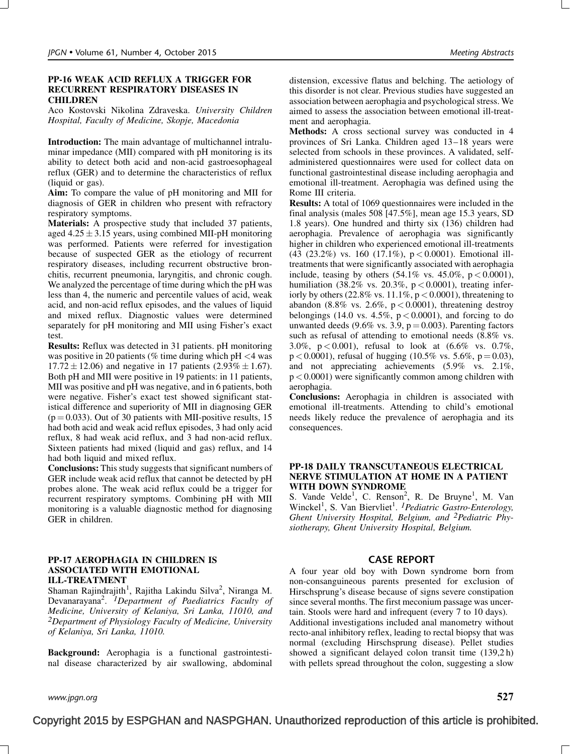#### PP-16 WEAK ACID REFLUX A TRIGGER FOR RECURRENT RESPIRATORY DISEASES IN CHILDREN

Aco Kostovski Nikolina Zdraveska. University Children Hospital, Faculty of Medicine, Skopje, Macedonia

Introduction: The main advantage of multichannel intraluminar impedance (MII) compared with pH monitoring is its ability to detect both acid and non-acid gastroesophageal reflux (GER) and to determine the characteristics of reflux (liquid or gas).

Aim: To compare the value of pH monitoring and MII for diagnosis of GER in children who present with refractory respiratory symptoms.

Materials: A prospective study that included 37 patients, aged  $4.25 \pm 3.15$  years, using combined MII-pH monitoring was performed. Patients were referred for investigation because of suspected GER as the etiology of recurrent respiratory diseases, including recurrent obstructive bronchitis, recurrent pneumonia, laryngitis, and chronic cough. We analyzed the percentage of time during which the pH was less than 4, the numeric and percentile values of acid, weak acid, and non-acid reflux episodes, and the values of liquid and mixed reflux. Diagnostic values were determined separately for pH monitoring and MII using Fisher's exact test.

Results: Reflux was detected in 31 patients. pH monitoring was positive in 20 patients (% time during which  $pH < 4$  was  $17.72 \pm 12.06$ ) and negative in 17 patients (2.93%  $\pm 1.67$ ). Both pH and MII were positive in 19 patients: in 11 patients, MII was positive and pH was negative, and in 6 patients, both were negative. Fisher's exact test showed significant statistical difference and superiority of MII in diagnosing GER  $(p = 0.033)$ . Out of 30 patients with MII-positive results, 15 had both acid and weak acid reflux episodes, 3 had only acid reflux, 8 had weak acid reflux, and 3 had non-acid reflux. Sixteen patients had mixed (liquid and gas) reflux, and 14 had both liquid and mixed reflux.

Conclusions: This study suggests that significant numbers of GER include weak acid reflux that cannot be detected by pH probes alone. The weak acid reflux could be a trigger for recurrent respiratory symptoms. Combining pH with MII monitoring is a valuable diagnostic method for diagnosing GER in children.

#### PP-17 AEROPHAGIA IN CHILDREN IS ASSOCIATED WITH EMOTIONAL ILL-TREATMENT

Shaman Rajindrajith<sup>1</sup>, Rajitha Lakindu Silva<sup>2</sup>, Niranga M. Devanarayana<sup>2</sup>. <sup>7</sup>Department of Paediatrics Faculty of Medicine, University of Kelaniya, Sri Lanka, 11010, and 2Department of Physiology Faculty of Medicine, University of Kelaniya, Sri Lanka, 11010.

Background: Aerophagia is a functional gastrointestinal disease characterized by air swallowing, abdominal distension, excessive flatus and belching. The aetiology of this disorder is not clear. Previous studies have suggested an association between aerophagia and psychological stress. We aimed to assess the association between emotional ill-treatment and aerophagia.

Methods: A cross sectional survey was conducted in 4 provinces of Sri Lanka. Children aged 13–18 years were selected from schools in these provinces. A validated, selfadministered questionnaires were used for collect data on functional gastrointestinal disease including aerophagia and emotional ill-treatment. Aerophagia was defined using the Rome III criteria.

Results: A total of 1069 questionnaires were included in the final analysis (males 508 [47.5%], mean age 15.3 years, SD 1.8 years). One hundred and thirty six (136) children had aerophagia. Prevalence of aerophagia was significantly higher in children who experienced emotional ill-treatments (43 (23.2%) vs. 160 (17.1%), p < 0.0001). Emotional illtreatments that were significantly associated with aerophagia include, teasing by others  $(54.1\% \text{ vs. } 45.0\%, \text{ p} < 0.0001)$ , humiliation (38.2% vs. 20.3%,  $p < 0.0001$ ), treating inferiorly by others (22.8% vs.  $11.1\%$ ,  $p < 0.0001$ ), threatening to abandon (8.8% vs. 2.6%,  $p < 0.0001$ ), threatening destroy belongings (14.0 vs. 4.5%,  $p < 0.0001$ ), and forcing to do unwanted deeds (9.6% vs. 3.9,  $p = 0.003$ ). Parenting factors such as refusal of attending to emotional needs (8.8% vs. 3.0%,  $p < 0.001$ ), refusal to look at  $(6.6\% \text{ vs. } 0.7\%$ ,  $p < 0.0001$ ), refusal of hugging (10.5% vs. 5.6%,  $p = 0.03$ ), and not appreciating achievements (5.9% vs. 2.1%,  $p < 0.0001$ ) were significantly common among children with aerophagia.

Conclusions: Aerophagia in children is associated with emotional ill-treatments. Attending to child's emotional needs likely reduce the prevalence of aerophagia and its consequences.

#### PP-18 DAILY TRANSCUTANEOUS ELECTRICAL NERVE STIMULATION AT HOME IN A PATIENT WITH DOWN SYNDROME

S. Vande Velde<sup>1</sup>, C. Renson<sup>2</sup>, R. De Bruyne<sup>1</sup>, M. Van Winckel<sup>1</sup>, S. Van Biervliet<sup>1</sup>. <sup>1</sup>Pediatric Gastro-Enterology, Ghent University Hospital, Belgium, and 2Pediatric Physiotherapy, Ghent University Hospital, Belgium.

## CASE REPORT

A four year old boy with Down syndrome born from non-consanguineous parents presented for exclusion of Hirschsprung's disease because of signs severe constipation since several months. The first meconium passage was uncertain. Stools were hard and infrequent (every 7 to 10 days).

Additional investigations included anal manometry without recto-anal inhibitory reflex, leading to rectal biopsy that was normal (excluding Hirschsprung disease). Pellet studies showed a significant delayed colon transit time (139,2 h) with pellets spread throughout the colon, suggesting a slow